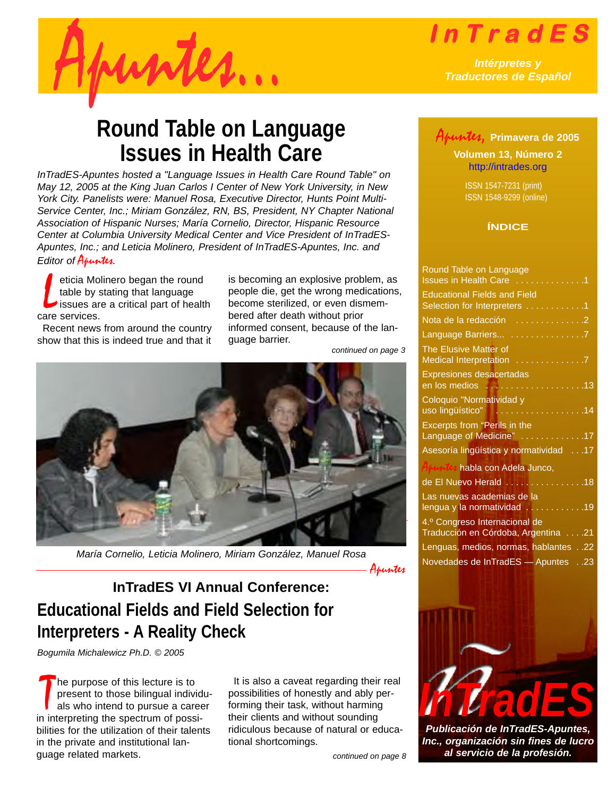

<span id="page-0-0"></span>

## *Traductores de Español*

## **Round Table on Language Issues in Health Care**

*InTradES-Apuntes hosted a "Language Issues in Health Care Round Table" on May 12, 2005 at the King Juan Carlos I Center of New York University, in New York City. Panelists were: Manuel Rosa, Executive Director, Hunts Point Multi-Service Center, Inc.; Miriam González, RN, BS, President, NY Chapter National Association of Hispanic Nurses; María Cornelio, Director, Hispanic Resource Center at Columbia University Medical Center and Vice President of InTradES-Apuntes, Inc.; and Leticia Molinero, President of InTradES-Apuntes, Inc. and Editor of* Apuntes*.* 

L eticia Molinero began the round table by stating that language issues are a critical part of health care services.

Recent news from around the country show that this is indeed true and that it is becoming an explosive problem, as people die, get the wrong medications, become sterilized, or even dismembered after death without prior informed consent, because of the language barrier.

*continued on page 3*



*María Cornelio, Leticia Molinero, Miriam González, Manuel Rosa*

Apuntes

## **Educational Fields and Field Selection for Interpreters - A Reality Check InTradES VI Annual Conference:**

*Bogumila Michalewicz Ph.D. © 2005*

The purpose of this lecture is to<br>present to those bilingual individuals who intend to pursue a care<br>in interpreting the spectrum of possihe purpose of this lecture is to present to those bilingual individuals who intend to pursue a career bilities for the utilization of their talents in the private and institutional language related markets.

It is also a caveat regarding their real possibilities of honestly and ably performing their task, without harming their clients and without sounding ridiculous because of natural or educational shortcomings.

*continued on page 8*

### Apuntes, **Primavera de 2005**

**Volumen 13, Número 2** <http://intrades.org>

ISSN 1547-7231 (print) ISSN 1548-9299 (online)

#### **ÍNDICE**

| Round Table on Language<br>Issues in Health Care                                        |     |
|-----------------------------------------------------------------------------------------|-----|
| <b>Educational Fields and Field</b><br>Selection for Interpreters 1                     |     |
| Nota de la redacción 2                                                                  |     |
| Language Barriers 7                                                                     |     |
| The Elusive Matter of<br>Medical Interpretation                                         |     |
| Expresiones desacertadas<br>en los medios<br>.                                          | .13 |
| Coloquio "Normatividad y<br>uso lingüístico"<br>and a straight                          | .14 |
| <b>Excerpts from "Perils in the</b><br>Language of Medicine"<br>$\overline{\ldots}$ .17 |     |
| Asesoría lingüística y normatividad                                                     | .17 |
| Anuntes habla con Adela Junco,                                                          |     |
| de El Nuevo Herald<br>.                                                                 | .18 |
| Las nuevas academias de la<br>lengua y la normatividad                                  | .19 |
| 4.º Congreso Internacional de<br>71. Traducción en Córdoba, Argentina                   |     |
| 22. Lenguas, medios, normas, hablantes22                                                |     |
| 23. Dovedades de InTradES - Apuntes 23                                                  |     |
|                                                                                         |     |



*Publicación de InTradES-Apuntes, Inc., organización sin fines de lucro al servicio de la profesión.*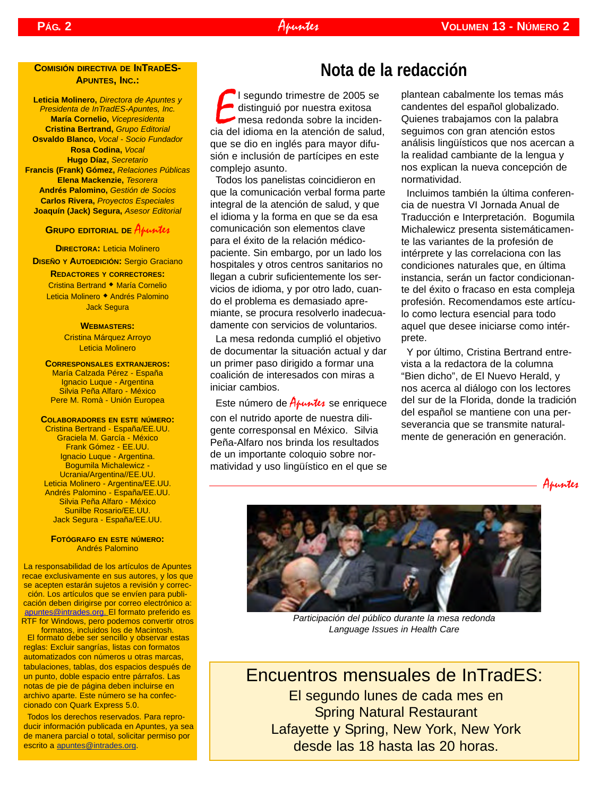#### Apuntes

#### **COMISIÓN DIRECTIVA DE INTRADES-APUNTES, INC.:**

**Leticia Molinero,** *Directora de Apuntes y Presidenta de InTradES-Apuntes, Inc.* **María Cornelio,** *Vicepresidenta* **Cristina Bertrand,** *Grupo Editorial* **Osvaldo Blanco,** *Vocal - Socio Fundador* **Rosa Codina,** *Vocal* **Hugo Díaz,** *Secretario* **Francis (Frank) Gómez,** *Relaciones Públicas* **Elena Mackenzie,** *Tesorera* **Andrés Palomino,** *Gestión de Socios* **Carlos Rivera,** *Proyectos Especiales* **Joaquín (Jack) Segura,** *Asesor Editorial*

#### **GRUPO EDITORIAL DE Apuntes**

**DIRECTORA:** Leticia Molinero **DISEÑO Y AUTOEDICIÓN:** Sergio Graciano

**REDACTORES Y CORRECTORES:** Cristina Bertrand • María Cornelio Leticia Molinero • Andrés Palomino Jack Segura

#### **WEBMASTERS:**

Cristina Márquez Arroyo Leticia Molinero

**CORRESPONSALES EXTRANJEROS:** María Calzada Pérez - España Ignacio Luque - Argentina Silvia Peña Alfaro - México Pere M. Romà - Unión Europea

#### **COLABORADORES EN ESTE NÚMERO:**

Cristina Bertrand - España/EE.UU. Graciela M. García - México Frank Gómez - EE.UU. Ignacio Luque - Argentina. Bogumila Michalewicz - Ucrania/Argentina//EE.UU. Leticia Molinero - Argentina/EE.UU. Andrés Palomino - España/EE.UU. Silvia Peña Alfaro - México Sunilbe Rosario/EE.UU. Jack Segura - España/EE.UU.

#### **FOTÓGRAFO EN ESTE NÚMERO:** Andrés Palomino

La responsabilidad de los artículos de Apuntes recae exclusivamente en sus autores, y los que se acepten estarán sujetos a revisión y corrección. Los artículos que se envíen para publicación deben dirigirse por correo electrónico a: [apuntes@intrades.org.](mailto:apuntes@intrades.org) El formato preferido es RTF for Windows, pero podemos convertir otros

formatos, incluidos los de Macintosh. El formato debe ser sencillo y observar estas reglas: Excluir sangrías, listas con formatos automatizados con números u otras marcas, tabulaciones, tablas, dos espacios después de un punto, doble espacio entre párrafos. Las notas de pie de página deben incluirse en archivo aparte. Este número se ha confeccionado con Quark Express 5.0.

Todos los derechos reservados. Para reproducir información publicada en Apuntes, ya sea de manera parcial o total, solicitar permiso por escrito a [apuntes@intrades.org.](mailto:apuntes@intrades.org)

## **Nota de la redacción**

El segundo trimestre de 2005 se<br>distinguió por nuestra exitosa<br>mesa redonda sobre la incidencia del idioma en la atención de salud, l segundo trimestre de 2005 se distinguió por nuestra exitosa mesa redonda sobre la incidenque se dio en inglés para mayor difusión e inclusión de partícipes en este complejo asunto.

Todos los panelistas coincidieron en que la comunicación verbal forma parte integral de la atención de salud, y que el idioma y la forma en que se da esa comunicación son elementos clave para el éxito de la relación médicopaciente. Sin embargo, por un lado los hospitales y otros centros sanitarios no llegan a cubrir suficientemente los servicios de idioma, y por otro lado, cuando el problema es demasiado apremiante, se procura resolverlo inadecuadamente con servicios de voluntarios.

La mesa redonda cumplió el objetivo de documentar la situación actual y dar un primer paso dirigido a formar una coalición de interesados con miras a iniciar cambios.

Este número de  $A$ *funtes* se enriquece

con el nutrido aporte de nuestra diligente corresponsal en México. Silvia Peña-Alfaro nos brinda los resultados de un importante coloquio sobre normatividad y uso lingüístico en el que se

<span id="page-1-0"></span>plantean cabalmente los temas más candentes del español globalizado. Quienes trabajamos con la palabra seguimos con gran atención estos análisis lingüísticos que nos acercan a la realidad cambiante de la lengua y nos explican la nueva concepción de normatividad.

Incluimos también la última conferencia de nuestra VI Jornada Anual de Traducción e Interpretación. Bogumila Michalewicz presenta sistemáticamente las variantes de la profesión de intérprete y las correlaciona con las condiciones naturales que, en última instancia, serán un factor condicionante del éxito o fracaso en esta compleja profesión. Recomendamos este artículo como lectura esencial para todo aquel que desee iniciarse como intérprete.

Y por último, Cristina Bertrand entrevista a la redactora de la columna "Bien dicho", de El Nuevo Herald, y nos acerca al diálogo con los lectores del sur de la Florida, donde la tradición del español se mantiene con una perseverancia que se transmite naturalmente de generación en generación.





*Participación del público durante la mesa redonda Language Issues in Health Care*

Encuentros mensuales de InTradES: El segundo lunes de cada mes en Spring Natural Restaurant Lafayette y Spring, New York, New York desde las 18 hasta las 20 horas.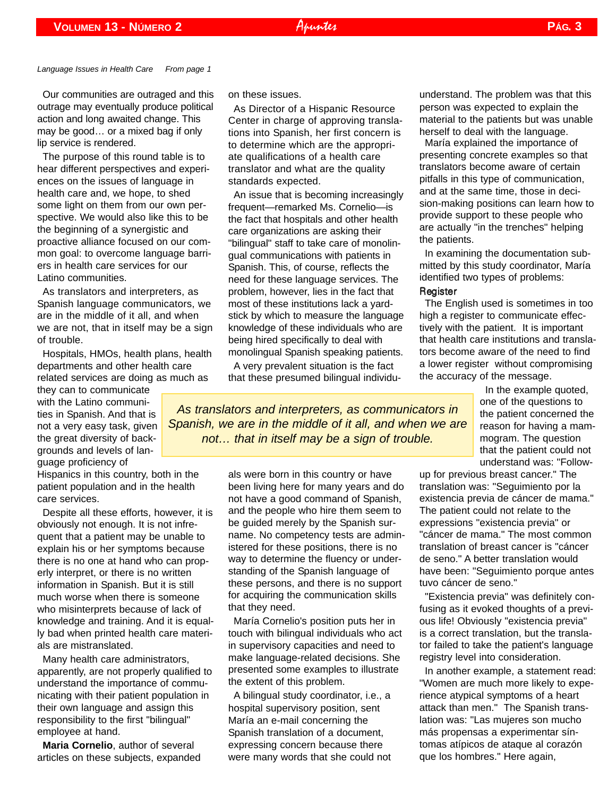*Language Issues in Health Care From page 1*

Our communities are outraged and this outrage may eventually produce political action and long awaited change. This may be good… or a mixed bag if only lip service is rendered.

The purpose of this round table is to hear different perspectives and experiences on the issues of language in health care and, we hope, to shed some light on them from our own perspective. We would also like this to be the beginning of a synergistic and proactive alliance focused on our common goal: to overcome language barriers in health care services for our Latino communities.

As translators and interpreters, as Spanish language communicators, we are in the middle of it all, and when we are not, that in itself may be a sign of trouble.

Hospitals, HMOs, health plans, health departments and other health care related services are doing as much as

they can to communicate with the Latino communities in Spanish. And that is not a very easy task, given the great diversity of backgrounds and levels of language proficiency of

Hispanics in this country, both in the patient population and in the health care services.

Despite all these efforts, however, it is obviously not enough. It is not infrequent that a patient may be unable to explain his or her symptoms because there is no one at hand who can properly interpret, or there is no written information in Spanish. But it is still much worse when there is someone who misinterprets because of lack of knowledge and training. And it is equally bad when printed health care materials are mistranslated.

Many health care administrators, apparently, are not properly qualified to understand the importance of communicating with their patient population in their own language and assign this responsibility to the first "bilingual" employee at hand.

**Maria Cornelio**, author of several articles on these subjects, expanded on these issues.

As Director of a Hispanic Resource Center in charge of approving translations into Spanish, her first concern is to determine which are the appropriate qualifications of a health care translator and what are the quality standards expected.

An issue that is becoming increasingly frequent—remarked Ms. Cornelio—is the fact that hospitals and other health care organizations are asking their "bilingual" staff to take care of monolingual communications with patients in Spanish. This, of course, reflects the need for these language services. The problem, however, lies in the fact that most of these institutions lack a yardstick by which to measure the language knowledge of these individuals who are being hired specifically to deal with monolingual Spanish speaking patients.

A very prevalent situation is the fact that these presumed bilingual individu-

*As translators and interpreters, as communicators in Spanish, we are in the middle of it all, and when we are not… that in itself may be a sign of trouble.*

> als were born in this country or have been living here for many years and do not have a good command of Spanish, and the people who hire them seem to be guided merely by the Spanish surname. No competency tests are administered for these positions, there is no way to determine the fluency or understanding of the Spanish language of these persons, and there is no support for acquiring the communication skills that they need.

María Cornelio's position puts her in touch with bilingual individuals who act in supervisory capacities and need to make language-related decisions. She presented some examples to illustrate the extent of this problem.

A bilingual study coordinator, i.e., a hospital supervisory position, sent María an e-mail concerning the Spanish translation of a document, expressing concern because there were many words that she could not understand. The problem was that this person was expected to explain the material to the patients but was unable herself to deal with the language.

María explained the importance of presenting concrete examples so that translators become aware of certain pitfalls in this type of communication, and at the same time, those in decision-making positions can learn how to provide support to these people who are actually "in the trenches" helping the patients.

In examining the documentation submitted by this study coordinator, María identified two types of problems:

#### **Register**

The English used is sometimes in too high a register to communicate effectively with the patient. It is important that health care institutions and translators become aware of the need to find a lower register without compromising the accuracy of the message.

> In the example quoted, one of the questions to the patient concerned the reason for having a mammogram. The question that the patient could not understand was: "Follow-

up for previous breast cancer." The translation was: "Seguimiento por la existencia previa de cáncer de mama." The patient could not relate to the expressions "existencia previa" or "cáncer de mama." The most common translation of breast cancer is "cáncer de seno." A better translation would have been: "Seguimiento porque antes tuvo cáncer de seno."

"Existencia previa" was definitely confusing as it evoked thoughts of a previous life! Obviously "existencia previa" is a correct translation, but the translator failed to take the patient's language registry level into consideration.

In another example, a statement read: "Women are much more likely to experience atypical symptoms of a heart attack than men." The Spanish translation was: "Las mujeres son mucho más propensas a experimentar síntomas atípicos de ataque al corazón que los hombres." Here again,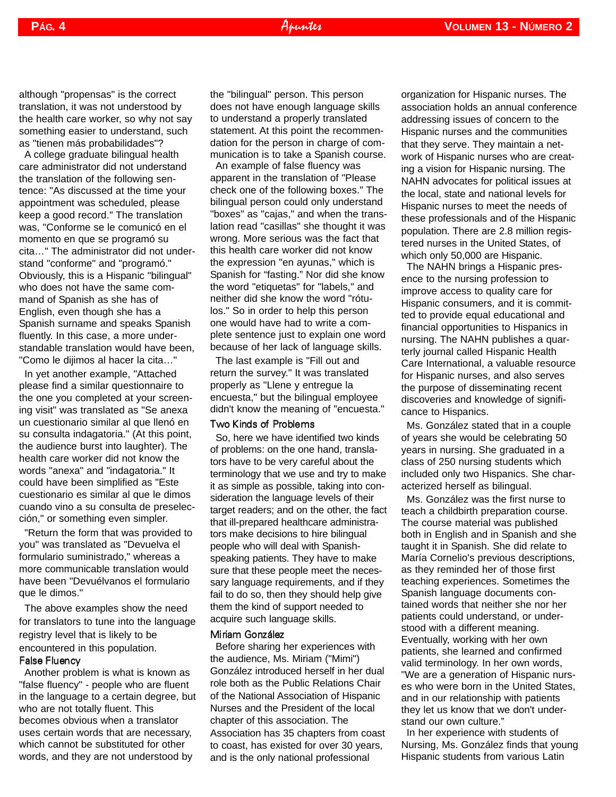although "propensas" is the correct translation, it was not understood by the health care worker, so why not say something easier to understand, such as "tienen más probabilidades"?

A college graduate bilingual health care administrator did not understand the translation of the following sentence: "As discussed at the time your appointment was scheduled, please keep a good record." The translation was, "Conforme se le comunicó en el momento en que se programó su cita…" The administrator did not understand "conforme" and "programó." Obviously, this is a Hispanic "bilingual" who does not have the same command of Spanish as she has of English, even though she has a Spanish surname and speaks Spanish fluently. In this case, a more understandable translation would have been, "Como le dijimos al hacer la cita…"

In yet another example, "Attached please find a similar questionnaire to the one you completed at your screening visit" was translated as "Se anexa un cuestionario similar al que llenó en su consulta indagatoria." (At this point, the audience burst into laughter). The health care worker did not know the words "anexa" and "indagatoria." It could have been simplified as "Este cuestionario es similar al que le dimos cuando vino a su consulta de preselección," or something even simpler.

"Return the form that was provided to you" was translated as "Devuelva el formulario suministrado," whereas a more communicable translation would have been "Devuélvanos el formulario que le dimos."

The above examples show the need for translators to tune into the language registry level that is likely to be encountered in this population.

#### False Fluency

Another problem is what is known as "false fluency" - people who are fluent in the language to a certain degree, but who are not totally fluent. This becomes obvious when a translator uses certain words that are necessary, which cannot be substituted for other words, and they are not understood by

the "bilingual" person. This person does not have enough language skills to understand a properly translated statement. At this point the recommendation for the person in charge of communication is to take a Spanish course.

An example of false fluency was apparent in the translation of "Please check one of the following boxes." The bilingual person could only understand "boxes" as "cajas," and when the translation read "casillas" she thought it was wrong. More serious was the fact that this health care worker did not know the expression "en ayunas," which is Spanish for "fasting." Nor did she know the word "etiquetas" for "labels," and neither did she know the word "rótulos." So in order to help this person one would have had to write a complete sentence just to explain one word because of her lack of language skills.

The last example is "Fill out and return the survey." It was translated properly as "Llene y entregue la encuesta," but the bilingual employee didn't know the meaning of "encuesta."

#### Two Kinds of Problems

So, here we have identified two kinds of problems: on the one hand, translators have to be very careful about the terminology that we use and try to make it as simple as possible, taking into consideration the language levels of their target readers; and on the other, the fact that ill-prepared healthcare administrators make decisions to hire bilingual people who will deal with Spanishspeaking patients. They have to make sure that these people meet the necessary language requirements, and if they fail to do so, then they should help give them the kind of support needed to acquire such language skills.

#### Miriam González

Before sharing her experiences with the audience, Ms. Miriam ("Mimi") González introduced herself in her dual role both as the Public Relations Chair of the National Association of Hispanic Nurses and the President of the local chapter of this association. The Association has 35 chapters from coast to coast, has existed for over 30 years, and is the only national professional

organization for Hispanic nurses. The association holds an annual conference addressing issues of concern to the Hispanic nurses and the communities that they serve. They maintain a network of Hispanic nurses who are creating a vision for Hispanic nursing. The NAHN advocates for political issues at the local, state and national levels for Hispanic nurses to meet the needs of these professionals and of the Hispanic population. There are 2.8 million registered nurses in the United States, of which only 50,000 are Hispanic.

The NAHN brings a Hispanic presence to the nursing profession to improve access to quality care for Hispanic consumers, and it is committed to provide equal educational and financial opportunities to Hispanics in nursing. The NAHN publishes a quarterly journal called Hispanic Health Care International, a valuable resource for Hispanic nurses, and also serves the purpose of disseminating recent discoveries and knowledge of significance to Hispanics.

Ms. González stated that in a couple of years she would be celebrating 50 years in nursing. She graduated in a class of 250 nursing students which included only two Hispanics. She characterized herself as bilingual.

Ms. González was the first nurse to teach a childbirth preparation course. The course material was published both in English and in Spanish and she taught it in Spanish. She did relate to María Cornelio's previous descriptions, as they reminded her of those first teaching experiences. Sometimes the Spanish language documents contained words that neither she nor her patients could understand, or understood with a different meaning. Eventually, working with her own patients, she learned and confirmed valid terminology. In her own words, "We are a generation of Hispanic nurses who were born in the United States, and in our relationship with patients they let us know that we don't understand our own culture."

In her experience with students of Nursing, Ms. González finds that young Hispanic students from various Latin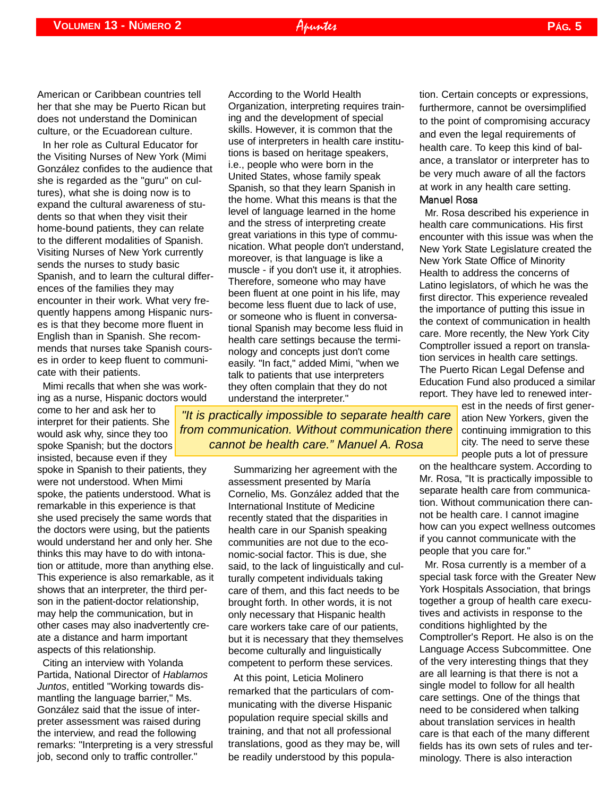In her role as Cultural Educator for the Visiting Nurses of New York (Mimi González confides to the audience that she is regarded as the "guru" on cultures), what she is doing now is to expand the cultural awareness of students so that when they visit their home-bound patients, they can relate to the different modalities of Spanish. Visiting Nurses of New York currently sends the nurses to study basic Spanish, and to learn the cultural differences of the families they may encounter in their work. What very frequently happens among Hispanic nurses is that they become more fluent in English than in Spanish. She recommends that nurses take Spanish courses in order to keep fluent to communicate with their patients.

Mimi recalls that when she was working as a nurse, Hispanic doctors would

come to her and ask her to interpret for their patients. She would ask why, since they too spoke Spanish; but the doctors insisted, because even if they spoke in Spanish to their patients, they were not understood. When Mimi spoke, the patients understood. What is remarkable in this experience is that she used precisely the same words that the doctors were using, but the patients would understand her and only her. She thinks this may have to do with intonation or attitude, more than anything else.

This experience is also remarkable, as it shows that an interpreter, the third person in the patient-doctor relationship, may help the communication, but in other cases may also inadvertently create a distance and harm important aspects of this relationship.

Citing an interview with Yolanda Partida, National Director of *Hablamos Juntos*, entitled "Working towards dismantling the language barrier," Ms. González said that the issue of interpreter assessment was raised during the interview, and read the following remarks: "Interpreting is a very stressful job, second only to traffic controller."

According to the World Health Organization, interpreting requires training and the development of special skills. However, it is common that the use of interpreters in health care institutions is based on heritage speakers, i.e., people who were born in the United States, whose family speak Spanish, so that they learn Spanish in the home. What this means is that the level of language learned in the home and the stress of interpreting create great variations in this type of communication. What people don't understand, moreover, is that language is like a muscle - if you don't use it, it atrophies. Therefore, someone who may have been fluent at one point in his life, may become less fluent due to lack of use, or someone who is fluent in conversational Spanish may become less fluid in health care settings because the terminology and concepts just don't come easily. "In fact," added Mimi, "when we talk to patients that use interpreters they often complain that they do not understand the interpreter."

*"It is practically impossible to separate health care from communication. Without communication there cannot be health care." Manuel A. Rosa*

> Summarizing her agreement with the assessment presented by María Cornelio, Ms. González added that the International Institute of Medicine recently stated that the disparities in health care in our Spanish speaking communities are not due to the economic-social factor. This is due, she said, to the lack of linguistically and culturally competent individuals taking care of them, and this fact needs to be brought forth. In other words, it is not only necessary that Hispanic health care workers take care of our patients, but it is necessary that they themselves become culturally and linguistically competent to perform these services.

At this point, Leticia Molinero remarked that the particulars of communicating with the diverse Hispanic population require special skills and training, and that not all professional translations, good as they may be, will be readily understood by this population. Certain concepts or expressions, furthermore, cannot be oversimplified to the point of compromising accuracy and even the legal requirements of health care. To keep this kind of balance, a translator or interpreter has to be very much aware of all the factors at work in any health care setting. Manuel Rosa

Mr. Rosa described his experience in health care communications. His first encounter with this issue was when the New York State Legislature created the New York State Office of Minority Health to address the concerns of Latino legislators, of which he was the first director. This experience revealed the importance of putting this issue in the context of communication in health care. More recently, the New York City Comptroller issued a report on translation services in health care settings. The Puerto Rican Legal Defense and Education Fund also produced a similar report. They have led to renewed inter-

> est in the needs of first generation New Yorkers, given the continuing immigration to this city. The need to serve these people puts a lot of pressure

on the healthcare system. According to Mr. Rosa, "It is practically impossible to separate health care from communication. Without communication there cannot be health care. I cannot imagine how can you expect wellness outcomes if you cannot communicate with the people that you care for."

Mr. Rosa currently is a member of a special task force with the Greater New York Hospitals Association, that brings together a group of health care executives and activists in response to the conditions highlighted by the Comptroller's Report. He also is on the Language Access Subcommittee. One of the very interesting things that they are all learning is that there is not a single model to follow for all health care settings. One of the things that need to be considered when talking about translation services in health care is that each of the many different fields has its own sets of rules and terminology. There is also interaction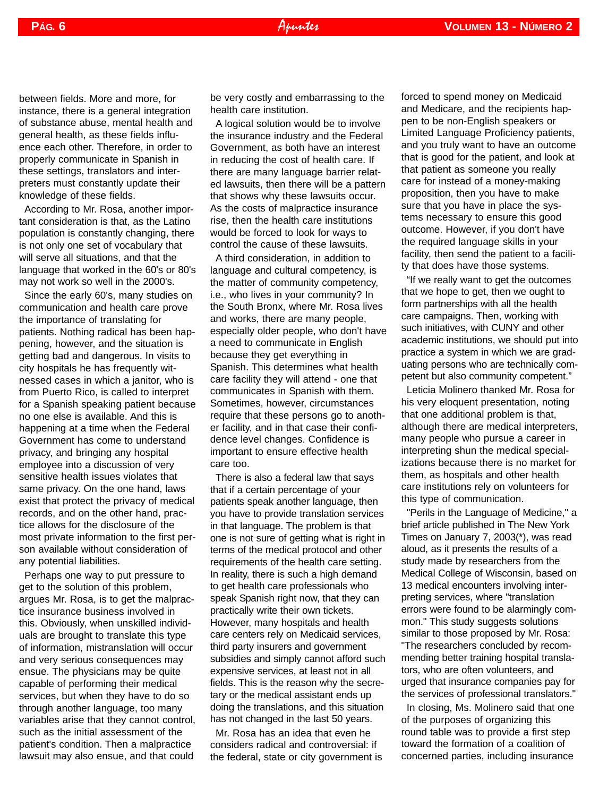between fields. More and more, for instance, there is a general integration of substance abuse, mental health and general health, as these fields influence each other. Therefore, in order to properly communicate in Spanish in these settings, translators and interpreters must constantly update their knowledge of these fields.

According to Mr. Rosa, another important consideration is that, as the Latino population is constantly changing, there is not only one set of vocabulary that will serve all situations, and that the language that worked in the 60's or 80's may not work so well in the 2000's.

Since the early 60's, many studies on communication and health care prove the importance of translating for patients. Nothing radical has been happening, however, and the situation is getting bad and dangerous. In visits to city hospitals he has frequently witnessed cases in which a janitor, who is from Puerto Rico, is called to interpret for a Spanish speaking patient because no one else is available. And this is happening at a time when the Federal Government has come to understand privacy, and bringing any hospital employee into a discussion of very sensitive health issues violates that same privacy. On the one hand, laws exist that protect the privacy of medical records, and on the other hand, practice allows for the disclosure of the most private information to the first person available without consideration of any potential liabilities.

Perhaps one way to put pressure to get to the solution of this problem, argues Mr. Rosa, is to get the malpractice insurance business involved in this. Obviously, when unskilled individuals are brought to translate this type of information, mistranslation will occur and very serious consequences may ensue. The physicians may be quite capable of performing their medical services, but when they have to do so through another language, too many variables arise that they cannot control, such as the initial assessment of the patient's condition. Then a malpractice lawsuit may also ensue, and that could

be very costly and embarrassing to the health care institution.

A logical solution would be to involve the insurance industry and the Federal Government, as both have an interest in reducing the cost of health care. If there are many language barrier related lawsuits, then there will be a pattern that shows why these lawsuits occur. As the costs of malpractice insurance rise, then the health care institutions would be forced to look for ways to control the cause of these lawsuits.

A third consideration, in addition to language and cultural competency, is the matter of community competency, i.e., who lives in your community? In the South Bronx, where Mr. Rosa lives and works, there are many people, especially older people, who don't have a need to communicate in English because they get everything in Spanish. This determines what health care facility they will attend - one that communicates in Spanish with them. Sometimes, however, circumstances require that these persons go to another facility, and in that case their confidence level changes. Confidence is important to ensure effective health care too.

There is also a federal law that says that if a certain percentage of your patients speak another language, then you have to provide translation services in that language. The problem is that one is not sure of getting what is right in terms of the medical protocol and other requirements of the health care setting. In reality, there is such a high demand to get health care professionals who speak Spanish right now, that they can practically write their own tickets. However, many hospitals and health care centers rely on Medicaid services, third party insurers and government subsidies and simply cannot afford such expensive services, at least not in all fields. This is the reason why the secretary or the medical assistant ends up doing the translations, and this situation has not changed in the last 50 years.

Mr. Rosa has an idea that even he considers radical and controversial: if the federal, state or city government is forced to spend money on Medicaid and Medicare, and the recipients happen to be non-English speakers or Limited Language Proficiency patients, and you truly want to have an outcome that is good for the patient, and look at that patient as someone you really care for instead of a money-making proposition, then you have to make sure that you have in place the systems necessary to ensure this good outcome. However, if you don't have the required language skills in your facility, then send the patient to a facility that does have those systems.

"If we really want to get the outcomes that we hope to get, then we ought to form partnerships with all the health care campaigns. Then, working with such initiatives, with CUNY and other academic institutions, we should put into practice a system in which we are graduating persons who are technically competent but also community competent."

Leticia Molinero thanked Mr. Rosa for his very eloquent presentation, noting that one additional problem is that, although there are medical interpreters, many people who pursue a career in interpreting shun the medical specializations because there is no market for them, as hospitals and other health care institutions rely on volunteers for this type of communication.

"Perils in the Language of Medicine," a brief article published in The New York Times on January 7, 2003(\*), was read aloud, as it presents the results of a study made by researchers from the Medical College of Wisconsin, based on 13 medical encounters involving interpreting services, where "translation errors were found to be alarmingly common." This study suggests solutions similar to those proposed by Mr. Rosa: "The researchers concluded by recommending better training hospital translators, who are often volunteers, and urged that insurance companies pay for the services of professional translators."

In closing, Ms. Molinero said that one of the purposes of organizing this round table was to provide a first step toward the formation of a coalition of concerned parties, including insurance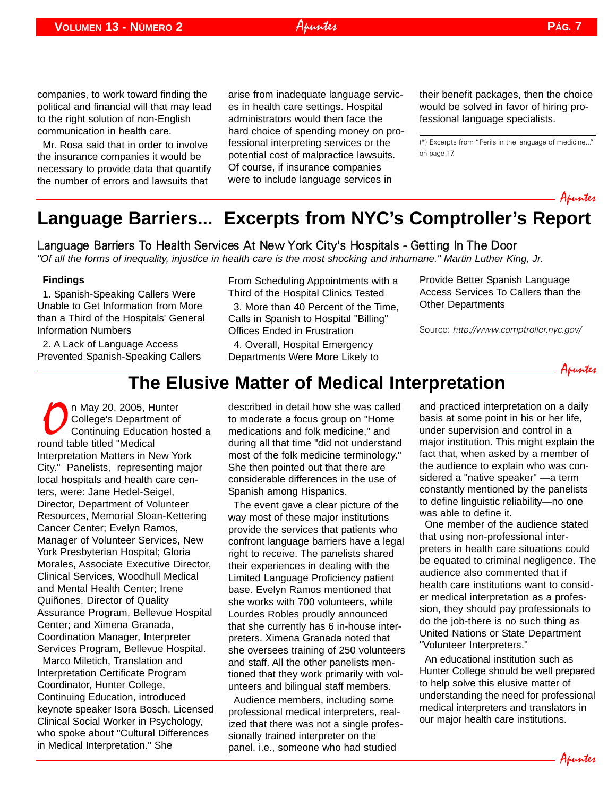companies, to work toward finding the political and financial will that may lead to the right solution of non-English communication in health care.

Mr. Rosa said that in order to involve the insurance companies it would be necessary to provide data that quantify the number of errors and lawsuits that

arise from inadequate language services in health care settings. Hospital administrators would then face the hard choice of spending money on professional interpreting services or the potential cost of malpractice lawsuits. Of course, if insurance companies were to include language services in

Apuntes

their benefit packages, then the choice would be solved in favor of hiring professional language specialists.

(\*) Excerpts from "Perils in the language of medicine..." on page 17.

<span id="page-6-0"></span>

## **Language Barriers... Excerpts from NYC's Comptroller's Report**

#### Language Barriers To Health Services At New York City's Hospitals - Getting In The Door

*"Of all the forms of inequality, injustice in health care is the most shocking and inhumane." Martin Luther King, Jr.*

#### **Findings**

1. Spanish-Speaking Callers Were Unable to Get Information from More than a Third of the Hospitals' General Information Numbers

2. A Lack of Language Access Prevented Spanish-Speaking Callers From Scheduling Appointments with a Third of the Hospital Clinics Tested 3. More than 40 Percent of the Time, Calls in Spanish to Hospital "Billing" Offices Ended in Frustration

4. Overall, Hospital Emergency Departments Were More Likely to Provide Better Spanish Language Access Services To Callers than the Other Departments

Source: <http://www.comptroller.nyc.gov/>



## **The Elusive Matter of Medical Interpretation**

n May 20, 2005, Hunter College's Department of Continuing Education hosted a round table titled "Medical Interpretation Matters in New York City." Panelists, representing major local hospitals and health care centers, were: Jane Hedel-Seigel, Director, Department of Volunteer Resources, Memorial Sloan-Kettering Cancer Center; Evelyn Ramos, Manager of Volunteer Services, New York Presbyterian Hospital; Gloria Morales, Associate Executive Director, Clinical Services, Woodhull Medical and Mental Health Center; Irene Quiñones, Director of Quality Assurance Program, Bellevue Hospital Center; and Ximena Granada, Coordination Manager, Interpreter Services Program, Bellevue Hospital. Marco Miletich, Translation and Interpretation Certificate Program Coordinator, Hunter College, Continuing Education, introduced keynote speaker Isora Bosch, Licensed Clinical Social Worker in Psychology, who spoke about "Cultural Differences in Medical Interpretation." She

described in detail how she was called to moderate a focus group on "Home medications and folk medicine," and during all that time "did not understand most of the folk medicine terminology." She then pointed out that there are considerable differences in the use of Spanish among Hispanics.

The event gave a clear picture of the way most of these major institutions provide the services that patients who confront language barriers have a legal right to receive. The panelists shared their experiences in dealing with the Limited Language Proficiency patient base. Evelyn Ramos mentioned that she works with 700 volunteers, while Lourdes Robles proudly announced that she currently has 6 in-house interpreters. Ximena Granada noted that she oversees training of 250 volunteers and staff. All the other panelists mentioned that they work primarily with volunteers and bilingual staff members.

Audience members, including some professional medical interpreters, realized that there was not a single professionally trained interpreter on the panel, i.e., someone who had studied

and practiced interpretation on a daily basis at some point in his or her life, under supervision and control in a major institution. This might explain the fact that, when asked by a member of the audience to explain who was considered a "native speaker" —a term constantly mentioned by the panelists to define linguistic reliability—no one was able to define it.

One member of the audience stated that using non-professional interpreters in health care situations could be equated to criminal negligence. The audience also commented that if health care institutions want to consider medical interpretation as a profession, they should pay professionals to do the job-there is no such thing as United Nations or State Department "Volunteer Interpreters."

An educational institution such as Hunter College should be well prepared to help solve this elusive matter of understanding the need for professional medical interpreters and translators in our major health care institutions.

Apuntes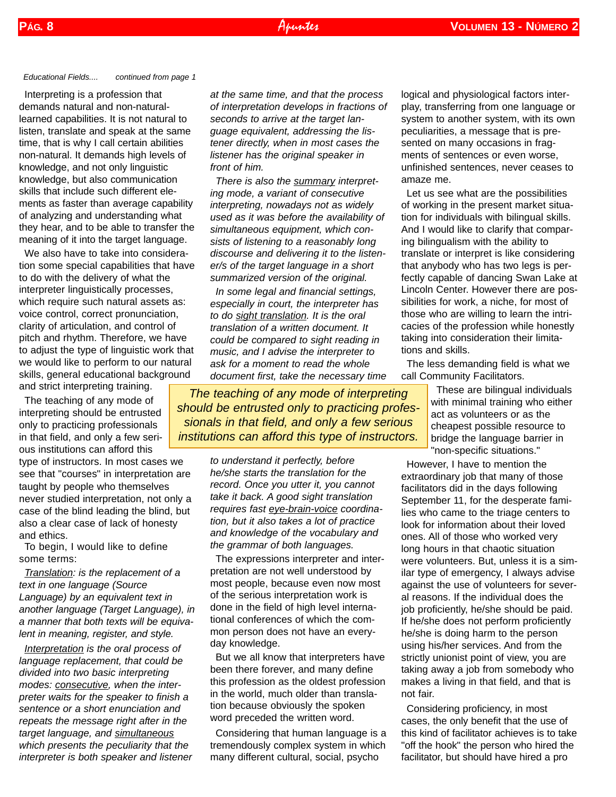*Educational Fields.... continued from page 1*

Interpreting is a profession that demands natural and non-naturallearned capabilities. It is not natural to listen, translate and speak at the same time, that is why I call certain abilities non-natural. It demands high levels of knowledge, and not only linguistic knowledge, but also communication skills that include such different elements as faster than average capability of analyzing and understanding what they hear, and to be able to transfer the meaning of it into the target language.

We also have to take into consideration some special capabilities that have to do with the delivery of what the interpreter linguistically processes, which require such natural assets as: voice control, correct pronunciation, clarity of articulation, and control of pitch and rhythm. Therefore, we have to adjust the type of linguistic work that we would like to perform to our natural skills, general educational background and strict interpreting training.

The teaching of any mode of interpreting should be entrusted only to practicing professionals in that field, and only a few serious institutions can afford this type of instructors. In most cases we see that "courses" in interpretation are taught by people who themselves never studied interpretation, not only a case of the blind leading the blind, but also a clear case of lack of honesty and ethics.

To begin, I would like to define some terms:

*Translation: is the replacement of a text in one language (Source Language) by an equivalent text in another language (Target Language), in a manner that both texts will be equivalent in meaning, register, and style.*

*Interpretation is the oral process of language replacement, that could be divided into two basic interpreting modes: consecutive, when the interpreter waits for the speaker to finish a sentence or a short enunciation and repeats the message right after in the target language, and simultaneous which presents the peculiarity that the interpreter is both speaker and listener* *at the same time, and that the process of interpretation develops in fractions of seconds to arrive at the target language equivalent, addressing the listener directly, when in most cases the listener has the original speaker in front of him.*

*There is also the summary interpreting mode, a variant of consecutive interpreting, nowadays not as widely used as it was before the availability of simultaneous equipment, which consists of listening to a reasonably long discourse and delivering it to the listener/s of the target language in a short summarized version of the original.* 

*In some legal and financial settings, especially in court, the interpreter has to do sight translation. It is the oral translation of a written document. It could be compared to sight reading in music, and I advise the interpreter to ask for a moment to read the whole document first, take the necessary time*

*The teaching of any mode of interpreting should be entrusted only to practicing professionals in that field, and only a few serious institutions can afford this type of instructors.* 

> *to understand it perfectly, before he/she starts the translation for the record. Once you utter it, you cannot take it back. A good sight translation requires fast eye-brain-voice coordination, but it also takes a lot of practice and knowledge of the vocabulary and the grammar of both languages.*

> The expressions interpreter and interpretation are not well understood by most people, because even now most of the serious interpretation work is done in the field of high level international conferences of which the common person does not have an everyday knowledge.

> But we all know that interpreters have been there forever, and many define this profession as the oldest profession in the world, much older than translation because obviously the spoken word preceded the written word.

> Considering that human language is a tremendously complex system in which many different cultural, social, psycho

logical and physiological factors interplay, transferring from one language or system to another system, with its own peculiarities, a message that is presented on many occasions in fragments of sentences or even worse, unfinished sentences, never ceases to amaze me.

Let us see what are the possibilities of working in the present market situation for individuals with bilingual skills. And I would like to clarify that comparing bilingualism with the ability to translate or interpret is like considering that anybody who has two legs is perfectly capable of dancing Swan Lake at Lincoln Center. However there are possibilities for work, a niche, for most of those who are willing to learn the intricacies of the profession while honestly taking into consideration their limitations and skills.

The less demanding field is what we call Community Facilitators.

> These are bilingual individuals with minimal training who either act as volunteers or as the cheapest possible resource to bridge the language barrier in "non-specific situations."

However, I have to mention the extraordinary job that many of those facilitators did in the days following September 11, for the desperate families who came to the triage centers to look for information about their loved ones. All of those who worked very long hours in that chaotic situation were volunteers. But, unless it is a similar type of emergency, I always advise against the use of volunteers for several reasons. If the individual does the job proficiently, he/she should be paid. If he/she does not perform proficiently he/she is doing harm to the person using his/her services. And from the strictly unionist point of view, you are taking away a job from somebody who makes a living in that field, and that is not fair.

Considering proficiency, in most cases, the only benefit that the use of this kind of facilitator achieves is to take "off the hook" the person who hired the facilitator, but should have hired a pro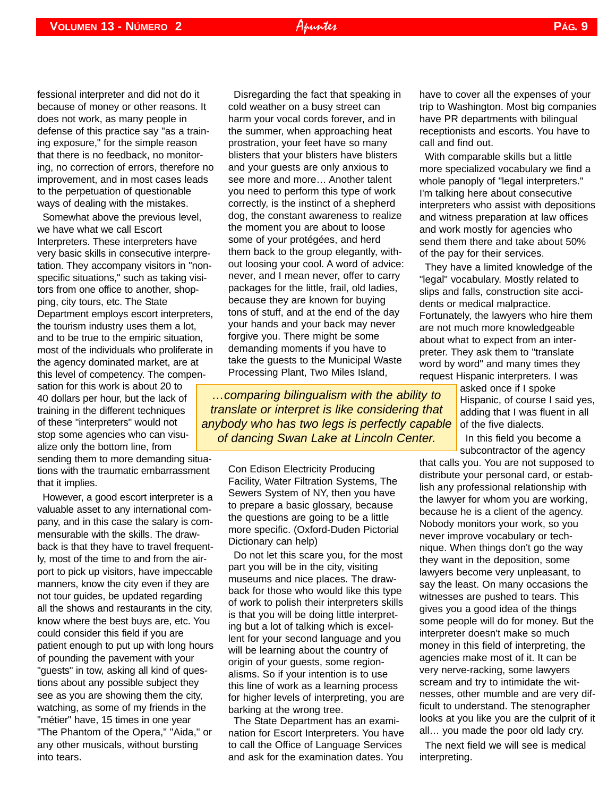fessional interpreter and did not do it because of money or other reasons. It does not work, as many people in defense of this practice say "as a training exposure," for the simple reason that there is no feedback, no monitoring, no correction of errors, therefore no improvement, and in most cases leads to the perpetuation of questionable ways of dealing with the mistakes.

Somewhat above the previous level, we have what we call Escort Interpreters. These interpreters have very basic skills in consecutive interpretation. They accompany visitors in "nonspecific situations," such as taking visitors from one office to another, shopping, city tours, etc. The State Department employs escort interpreters, the tourism industry uses them a lot, and to be true to the empiric situation, most of the individuals who proliferate in the agency dominated market, are at this level of competency. The compensation for this work is about 20 to 40 dollars per hour, but the lack of training in the different techniques of these "interpreters" would not stop some agencies who can visualize only the bottom line, from sending them to more demanding situa-

tions with the traumatic embarrassment that it implies.

However, a good escort interpreter is a valuable asset to any international company, and in this case the salary is commensurable with the skills. The drawback is that they have to travel frequently, most of the time to and from the airport to pick up visitors, have impeccable manners, know the city even if they are not tour guides, be updated regarding all the shows and restaurants in the city, know where the best buys are, etc. You could consider this field if you are patient enough to put up with long hours of pounding the pavement with your "guests" in tow, asking all kind of questions about any possible subject they see as you are showing them the city, watching, as some of my friends in the "métier" have, 15 times in one year "The Phantom of the Opera," "Aida," or any other musicals, without bursting into tears.

Disregarding the fact that speaking in cold weather on a busy street can harm your vocal cords forever, and in the summer, when approaching heat prostration, your feet have so many blisters that your blisters have blisters and your guests are only anxious to see more and more… Another talent you need to perform this type of work correctly, is the instinct of a shepherd dog, the constant awareness to realize the moment you are about to loose some of your protégées, and herd them back to the group elegantly, without loosing your cool. A word of advice: never, and I mean never, offer to carry packages for the little, frail, old ladies, because they are known for buying tons of stuff, and at the end of the day your hands and your back may never forgive you. There might be some demanding moments if you have to take the guests to the Municipal Waste Processing Plant, Two Miles Island,

*…comparing bilingualism with the ability to translate or interpret is like considering that anybody who has two legs is perfectly capable of dancing Swan Lake at Lincoln Center.* 

> Con Edison Electricity Producing Facility, Water Filtration Systems, The Sewers System of NY, then you have to prepare a basic glossary, because the questions are going to be a little more specific. (Oxford-Duden Pictorial Dictionary can help)

Do not let this scare you, for the most part you will be in the city, visiting museums and nice places. The drawback for those who would like this type of work to polish their interpreters skills is that you will be doing little interpreting but a lot of talking which is excellent for your second language and you will be learning about the country of origin of your guests, some regionalisms. So if your intention is to use this line of work as a learning process for higher levels of interpreting, you are barking at the wrong tree.

The State Department has an examination for Escort Interpreters. You have to call the Office of Language Services and ask for the examination dates. You have to cover all the expenses of your trip to Washington. Most big companies have PR departments with bilingual receptionists and escorts. You have to call and find out.

With comparable skills but a little more specialized vocabulary we find a whole panoply of "legal interpreters." I'm talking here about consecutive interpreters who assist with depositions and witness preparation at law offices and work mostly for agencies who send them there and take about 50% of the pay for their services.

They have a limited knowledge of the "legal" vocabulary. Mostly related to slips and falls, construction site accidents or medical malpractice. Fortunately, the lawyers who hire them are not much more knowledgeable about what to expect from an interpreter. They ask them to "translate word by word" and many times they request Hispanic interpreters. I was

> asked once if I spoke Hispanic, of course I said yes, adding that I was fluent in all of the five dialects.

In this field you become a subcontractor of the agency

that calls you. You are not supposed to distribute your personal card, or establish any professional relationship with the lawyer for whom you are working, because he is a client of the agency. Nobody monitors your work, so you never improve vocabulary or technique. When things don't go the way they want in the deposition, some lawyers become very unpleasant, to say the least. On many occasions the witnesses are pushed to tears. This gives you a good idea of the things some people will do for money. But the interpreter doesn't make so much money in this field of interpreting, the agencies make most of it. It can be very nerve-racking, some lawyers scream and try to intimidate the witnesses, other mumble and are very difficult to understand. The stenographer looks at you like you are the culprit of it all… you made the poor old lady cry.

The next field we will see is medical interpreting.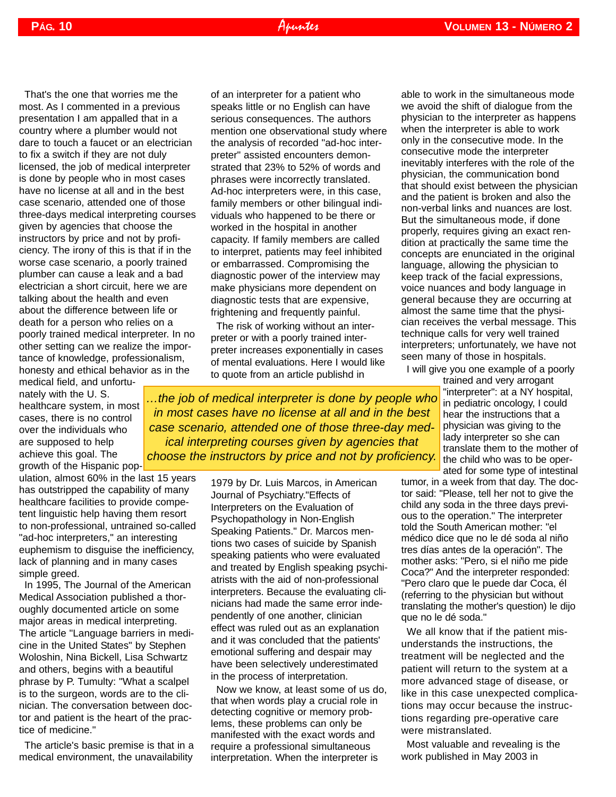That's the one that worries me the most. As I commented in a previous presentation I am appalled that in a country where a plumber would not dare to touch a faucet or an electrician to fix a switch if they are not duly licensed, the job of medical interpreter is done by people who in most cases have no license at all and in the best case scenario, attended one of those three-days medical interpreting courses given by agencies that choose the instructors by price and not by proficiency. The irony of this is that if in the worse case scenario, a poorly trained plumber can cause a leak and a bad electrician a short circuit, here we are talking about the health and even about the difference between life or death for a person who relies on a poorly trained medical interpreter. In no other setting can we realize the importance of knowledge, professionalism, honesty and ethical behavior as in the

medical field, and unfortunately with the U. S. healthcare system, in most cases, there is no control over the individuals who are supposed to help achieve this goal. The growth of the Hispanic pop-

ulation, almost 60% in the last 15 years has outstripped the capability of many healthcare facilities to provide competent linguistic help having them resort to non-professional, untrained so-called "ad-hoc interpreters," an interesting euphemism to disguise the inefficiency, lack of planning and in many cases simple greed.

In 1995, The Journal of the American Medical Association published a thoroughly documented article on some major areas in medical interpreting. The article "Language barriers in medicine in the United States" by Stephen Woloshin, Nina Bickell, Lisa Schwartz and others, begins with a beautiful phrase by P. Tumulty: "What a scalpel is to the surgeon, words are to the clinician. The conversation between doctor and patient is the heart of the practice of medicine."

The article's basic premise is that in a medical environment, the unavailability

of an interpreter for a patient who speaks little or no English can have serious consequences. The authors mention one observational study where the analysis of recorded "ad-hoc interpreter" assisted encounters demonstrated that 23% to 52% of words and phrases were incorrectly translated. Ad-hoc interpreters were, in this case, family members or other bilingual individuals who happened to be there or worked in the hospital in another capacity. If family members are called to interpret, patients may feel inhibited or embarrassed. Compromising the diagnostic power of the interview may make physicians more dependent on diagnostic tests that are expensive, frightening and frequently painful.

The risk of working without an interpreter or with a poorly trained interpreter increases exponentially in cases of mental evaluations. Here I would like to quote from an article publishd in

*…the job of medical interpreter is done by people who in most cases have no license at all and in the best case scenario, attended one of those three-day medical interpreting courses given by agencies that choose the instructors by price and not by proficiency.* 

> 1979 by Dr. Luis Marcos, in American Journal of Psychiatry."Effects of Interpreters on the Evaluation of Psychopathology in Non-English Speaking Patients." Dr. Marcos mentions two cases of suicide by Spanish speaking patients who were evaluated and treated by English speaking psychiatrists with the aid of non-professional interpreters. Because the evaluating clinicians had made the same error independently of one another, clinician effect was ruled out as an explanation and it was concluded that the patients' emotional suffering and despair may have been selectively underestimated in the process of interpretation.

> Now we know, at least some of us do, that when words play a crucial role in detecting cognitive or memory problems, these problems can only be manifested with the exact words and require a professional simultaneous interpretation. When the interpreter is

able to work in the simultaneous mode we avoid the shift of dialogue from the physician to the interpreter as happens when the interpreter is able to work only in the consecutive mode. In the consecutive mode the interpreter inevitably interferes with the role of the physician, the communication bond that should exist between the physician and the patient is broken and also the non-verbal links and nuances are lost. But the simultaneous mode, if done properly, requires giving an exact rendition at practically the same time the concepts are enunciated in the original language, allowing the physician to keep track of the facial expressions, voice nuances and body language in general because they are occurring at almost the same time that the physician receives the verbal message. This technique calls for very well trained interpreters; unfortunately, we have not seen many of those in hospitals.

I will give you one example of a poorly

trained and very arrogant "interpreter": at a NY hospital, in pediatric oncology, I could hear the instructions that a physician was giving to the lady interpreter so she can translate them to the mother of the child who was to be operated for some type of intestinal

tumor, in a week from that day. The doctor said: "Please, tell her not to give the child any soda in the three days previous to the operation." The interpreter told the South American mother: "el médico dice que no le dé soda al niño tres días antes de la operación". The mother asks: "Pero, si el niño me pide Coca?" And the interpreter responded: "Pero claro que le puede dar Coca, él (referring to the physician but without translating the mother's question) le dijo que no le dé soda."

We all know that if the patient misunderstands the instructions, the treatment will be neglected and the patient will return to the system at a more advanced stage of disease, or like in this case unexpected complications may occur because the instructions regarding pre-operative care were mistranslated.

Most valuable and revealing is the work published in May 2003 in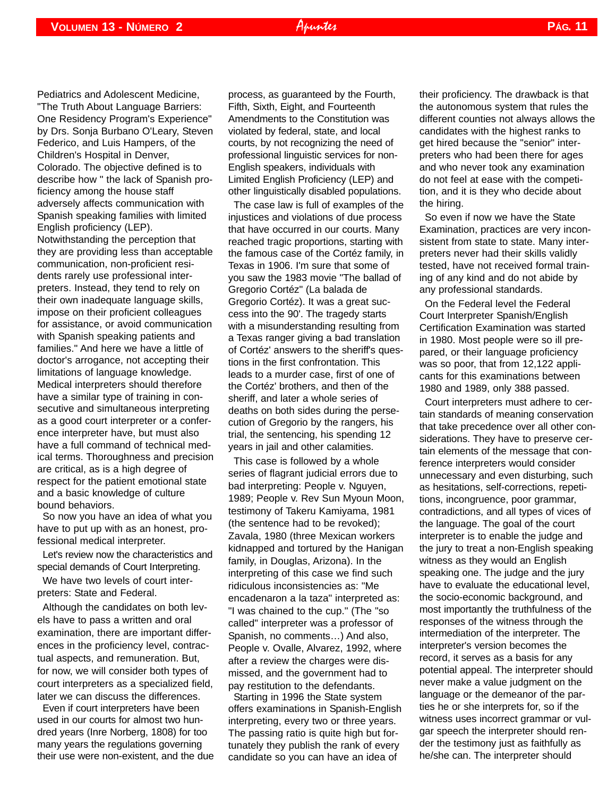Pediatrics and Adolescent Medicine, "The Truth About Language Barriers: One Residency Program's Experience" by Drs. Sonja Burbano O'Leary, Steven Federico, and Luis Hampers, of the Children's Hospital in Denver, Colorado. The objective defined is to describe how " the lack of Spanish proficiency among the house staff adversely affects communication with Spanish speaking families with limited English proficiency (LEP). Notwithstanding the perception that they are providing less than acceptable communication, non-proficient residents rarely use professional interpreters. Instead, they tend to rely on their own inadequate language skills, impose on their proficient colleagues for assistance, or avoid communication with Spanish speaking patients and families." And here we have a little of doctor's arrogance, not accepting their limitations of language knowledge. Medical interpreters should therefore have a similar type of training in consecutive and simultaneous interpreting as a good court interpreter or a conference interpreter have, but must also have a full command of technical medical terms. Thoroughness and precision are critical, as is a high degree of respect for the patient emotional state and a basic knowledge of culture bound behaviors.

So now you have an idea of what you have to put up with as an honest, professional medical interpreter.

Let's review now the characteristics and special demands of Court Interpreting.

We have two levels of court interpreters: State and Federal.

Although the candidates on both levels have to pass a written and oral examination, there are important differences in the proficiency level, contractual aspects, and remuneration. But, for now, we will consider both types of court interpreters as a specialized field, later we can discuss the differences.

Even if court interpreters have been used in our courts for almost two hundred years (Inre Norberg, 1808) for too many years the regulations governing their use were non-existent, and the due process, as guaranteed by the Fourth, Fifth, Sixth, Eight, and Fourteenth Amendments to the Constitution was violated by federal, state, and local courts, by not recognizing the need of professional linguistic services for non-English speakers, individuals with Limited English Proficiency (LEP) and other linguistically disabled populations.

The case law is full of examples of the injustices and violations of due process that have occurred in our courts. Many reached tragic proportions, starting with the famous case of the Cortéz family, in Texas in 1906. I'm sure that some of you saw the 1983 movie "The ballad of Gregorio Cortéz" (La balada de Gregorio Cortéz). It was a great success into the 90'. The tragedy starts with a misunderstanding resulting from a Texas ranger giving a bad translation of Cortéz' answers to the sheriff's questions in the first confrontation. This leads to a murder case, first of one of the Cortéz' brothers, and then of the sheriff, and later a whole series of deaths on both sides during the persecution of Gregorio by the rangers, his trial, the sentencing, his spending 12 years in jail and other calamities.

This case is followed by a whole series of flagrant judicial errors due to bad interpreting: People v. Nguyen, 1989; People v. Rev Sun Myoun Moon, testimony of Takeru Kamiyama, 1981 (the sentence had to be revoked); Zavala, 1980 (three Mexican workers kidnapped and tortured by the Hanigan family, in Douglas, Arizona). In the interpreting of this case we find such ridiculous inconsistencies as: "Me encadenaron a la taza" interpreted as: "I was chained to the cup." (The "so called" interpreter was a professor of Spanish, no comments…) And also, People v. Ovalle, Alvarez, 1992, where after a review the charges were dismissed, and the government had to pay restitution to the defendants.

Starting in 1996 the State system offers examinations in Spanish-English interpreting, every two or three years. The passing ratio is quite high but fortunately they publish the rank of every candidate so you can have an idea of

their proficiency. The drawback is that the autonomous system that rules the different counties not always allows the candidates with the highest ranks to get hired because the "senior" interpreters who had been there for ages and who never took any examination do not feel at ease with the competition, and it is they who decide about the hiring.

So even if now we have the State Examination, practices are very inconsistent from state to state. Many interpreters never had their skills validly tested, have not received formal training of any kind and do not abide by any professional standards.

On the Federal level the Federal Court Interpreter Spanish/English Certification Examination was started in 1980. Most people were so ill prepared, or their language proficiency was so poor, that from 12,122 applicants for this examinations between 1980 and 1989, only 388 passed.

Court interpreters must adhere to certain standards of meaning conservation that take precedence over all other considerations. They have to preserve certain elements of the message that conference interpreters would consider unnecessary and even disturbing, such as hesitations, self-corrections, repetitions, incongruence, poor grammar, contradictions, and all types of vices of the language. The goal of the court interpreter is to enable the judge and the jury to treat a non-English speaking witness as they would an English speaking one. The judge and the jury have to evaluate the educational level, the socio-economic background, and most importantly the truthfulness of the responses of the witness through the intermediation of the interpreter. The interpreter's version becomes the record, it serves as a basis for any potential appeal. The interpreter should never make a value judgment on the language or the demeanor of the parties he or she interprets for, so if the witness uses incorrect grammar or vulgar speech the interpreter should render the testimony just as faithfully as he/she can. The interpreter should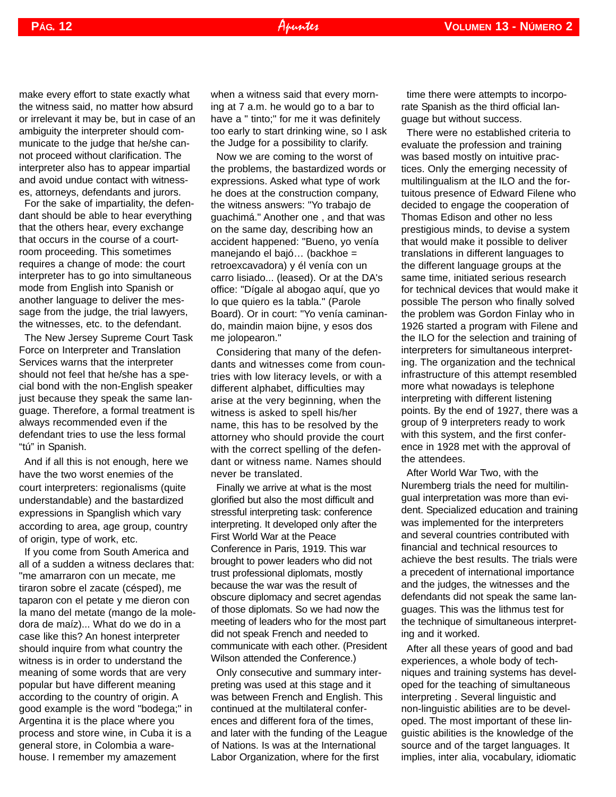make every effort to state exactly what the witness said, no matter how absurd or irrelevant it may be, but in case of an ambiguity the interpreter should communicate to the judge that he/she cannot proceed without clarification. The interpreter also has to appear impartial and avoid undue contact with witnesses, attorneys, defendants and jurors.

For the sake of impartiality, the defendant should be able to hear everything that the others hear, every exchange that occurs in the course of a courtroom proceeding. This sometimes requires a change of mode: the court interpreter has to go into simultaneous mode from English into Spanish or another language to deliver the message from the judge, the trial lawyers, the witnesses, etc. to the defendant.

The New Jersey Supreme Court Task Force on Interpreter and Translation Services warns that the interpreter should not feel that he/she has a special bond with the non-English speaker just because they speak the same language. Therefore, a formal treatment is always recommended even if the defendant tries to use the less formal "tú" in Spanish.

And if all this is not enough, here we have the two worst enemies of the court interpreters: regionalisms (quite understandable) and the bastardized expressions in Spanglish which vary according to area, age group, country of origin, type of work, etc.

If you come from South America and all of a sudden a witness declares that: "me amarraron con un mecate, me tiraron sobre el zacate (césped), me taparon con el petate y me dieron con la mano del metate (mango de la moledora de maíz)... What do we do in a case like this? An honest interpreter should inquire from what country the witness is in order to understand the meaning of some words that are very popular but have different meaning according to the country of origin. A good example is the word "bodega;" in Argentina it is the place where you process and store wine, in Cuba it is a general store, in Colombia a warehouse. I remember my amazement

when a witness said that every morning at 7 a.m. he would go to a bar to have a " tinto;" for me it was definitely too early to start drinking wine, so I ask the Judge for a possibility to clarify.

Now we are coming to the worst of the problems, the bastardized words or expressions. Asked what type of work he does at the construction company, the witness answers: "Yo trabajo de guachimá." Another one , and that was on the same day, describing how an accident happened: "Bueno, yo venía manejando el bajó… (backhoe = retroexcavadora) y él venía con un carro lisiado... (leased). Or at the DA's office: "Dígale al abogao aquí, que yo lo que quiero es la tabla." (Parole Board). Or in court: "Yo venía caminando, maindin maion bijne, y esos dos me jolopearon."

Considering that many of the defendants and witnesses come from countries with low literacy levels, or with a different alphabet, difficulties may arise at the very beginning, when the witness is asked to spell his/her name, this has to be resolved by the attorney who should provide the court with the correct spelling of the defendant or witness name. Names should never be translated.

Finally we arrive at what is the most glorified but also the most difficult and stressful interpreting task: conference interpreting. It developed only after the First World War at the Peace Conference in Paris, 1919. This war brought to power leaders who did not trust professional diplomats, mostly because the war was the result of obscure diplomacy and secret agendas of those diplomats. So we had now the meeting of leaders who for the most part did not speak French and needed to communicate with each other. (President Wilson attended the Conference.)

Only consecutive and summary interpreting was used at this stage and it was between French and English. This continued at the multilateral conferences and different fora of the times, and later with the funding of the League of Nations. Is was at the International Labor Organization, where for the first

time there were attempts to incorporate Spanish as the third official language but without success.

There were no established criteria to evaluate the profession and training was based mostly on intuitive practices. Only the emerging necessity of multilingualism at the ILO and the fortuitous presence of Edward Filene who decided to engage the cooperation of Thomas Edison and other no less prestigious minds, to devise a system that would make it possible to deliver translations in different languages to the different language groups at the same time, initiated serious research for technical devices that would make it possible The person who finally solved the problem was Gordon Finlay who in 1926 started a program with Filene and the ILO for the selection and training of interpreters for simultaneous interpreting. The organization and the technical infrastructure of this attempt resembled more what nowadays is telephone interpreting with different listening points. By the end of 1927, there was a group of 9 interpreters ready to work with this system, and the first conference in 1928 met with the approval of the attendees.

After World War Two, with the Nuremberg trials the need for multilingual interpretation was more than evident. Specialized education and training was implemented for the interpreters and several countries contributed with financial and technical resources to achieve the best results. The trials were a precedent of international importance and the judges, the witnesses and the defendants did not speak the same languages. This was the lithmus test for the technique of simultaneous interpreting and it worked.

After all these years of good and bad experiences, a whole body of techniques and training systems has developed for the teaching of simultaneous interpreting . Several linguistic and non-linguistic abilities are to be developed. The most important of these linguistic abilities is the knowledge of the source and of the target languages. It implies, inter alia, vocabulary, idiomatic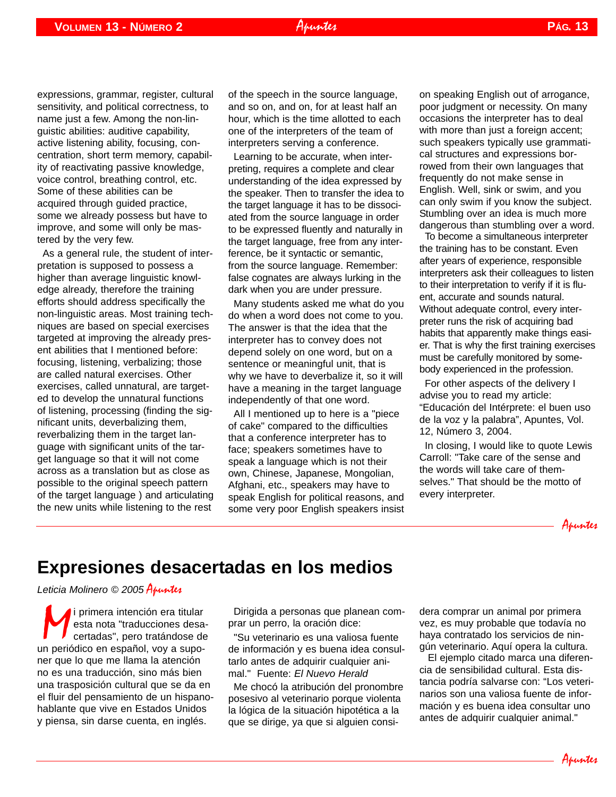expressions, grammar, register, cultural sensitivity, and political correctness, to name just a few. Among the non-linguistic abilities: auditive capability, active listening ability, focusing, concentration, short term memory, capability of reactivating passive knowledge, voice control, breathing control, etc. Some of these abilities can be acquired through guided practice, some we already possess but have to improve, and some will only be mastered by the very few.

As a general rule, the student of interpretation is supposed to possess a higher than average linguistic knowledge already, therefore the training efforts should address specifically the non-linguistic areas. Most training techniques are based on special exercises targeted at improving the already present abilities that I mentioned before: focusing, listening, verbalizing; those are called natural exercises. Other exercises, called unnatural, are targeted to develop the unnatural functions of listening, processing (finding the significant units, deverbalizing them, reverbalizing them in the target language with significant units of the target language so that it will not come across as a translation but as close as possible to the original speech pattern of the target language ) and articulating the new units while listening to the rest

of the speech in the source language, and so on, and on, for at least half an hour, which is the time allotted to each one of the interpreters of the team of interpreters serving a conference.

Apuntes

Learning to be accurate, when interpreting, requires a complete and clear understanding of the idea expressed by the speaker. Then to transfer the idea to the target language it has to be dissociated from the source language in order to be expressed fluently and naturally in the target language, free from any interference, be it syntactic or semantic, from the source language. Remember: false cognates are always lurking in the dark when you are under pressure.

Many students asked me what do you do when a word does not come to you. The answer is that the idea that the interpreter has to convey does not depend solely on one word, but on a sentence or meaningful unit, that is why we have to deverbalize it, so it will have a meaning in the target language independently of that one word.

All I mentioned up to here is a "piece of cake" compared to the difficulties that a conference interpreter has to face; speakers sometimes have to speak a language which is not their own, Chinese, Japanese, Mongolian, Afghani, etc., speakers may have to speak English for political reasons, and some very poor English speakers insist <span id="page-12-0"></span>on speaking English out of arrogance, poor judgment or necessity. On many occasions the interpreter has to deal with more than just a foreign accent; such speakers typically use grammatical structures and expressions borrowed from their own languages that frequently do not make sense in English. Well, sink or swim, and you can only swim if you know the subject. Stumbling over an idea is much more dangerous than stumbling over a word.

To become a simultaneous interpreter the training has to be constant. Even after years of experience, responsible interpreters ask their colleagues to listen to their interpretation to verify if it is fluent, accurate and sounds natural. Without adequate control, every interpreter runs the risk of acquiring bad habits that apparently make things easier. That is why the first training exercises must be carefully monitored by somebody experienced in the profession.

For other aspects of the delivery I advise you to read my article: "Educación del Intérprete: el buen uso de la voz y la palabra", Apuntes, Vol. 12, Número 3, 2004.

In closing, I would like to quote Lewis Carroll: "Take care of the sense and the words will take care of themselves." That should be the motto of every interpreter.



## **Expresiones desacertadas en los medios**

*Leticia Molinero © 2005* Apuntes

*i* primera intención era titular esta nota "traducciones desa<br>certadas", pero tratándose d<br>n periódico en español. vov a supoesta nota "traducciones desacertadas", pero tratándose de un periódico en español, voy a suponer que lo que me llama la atención no es una traducción, sino más bien una trasposición cultural que se da en el fluir del pensamiento de un hispanohablante que vive en Estados Unidos y piensa, sin darse cuenta, en inglés.

Dirigida a personas que planean comprar un perro, la oración dice:

"Su veterinario es una valiosa fuente de información y es buena idea consultarlo antes de adquirir cualquier animal." Fuente: *El Nuevo Herald* 

Me chocó la atribución del pronombre posesivo al veterinario porque violenta la lógica de la situación hipotética a la que se dirige, ya que si alguien considera comprar un animal por primera vez, es muy probable que todavía no haya contratado los servicios de ningún veterinario. Aquí opera la cultura.

El ejemplo citado marca una diferencia de sensibilidad cultural. Esta distancia podría salvarse con: "Los veterinarios son una valiosa fuente de información y es buena idea consultar uno antes de adquirir cualquier animal."

Apuntes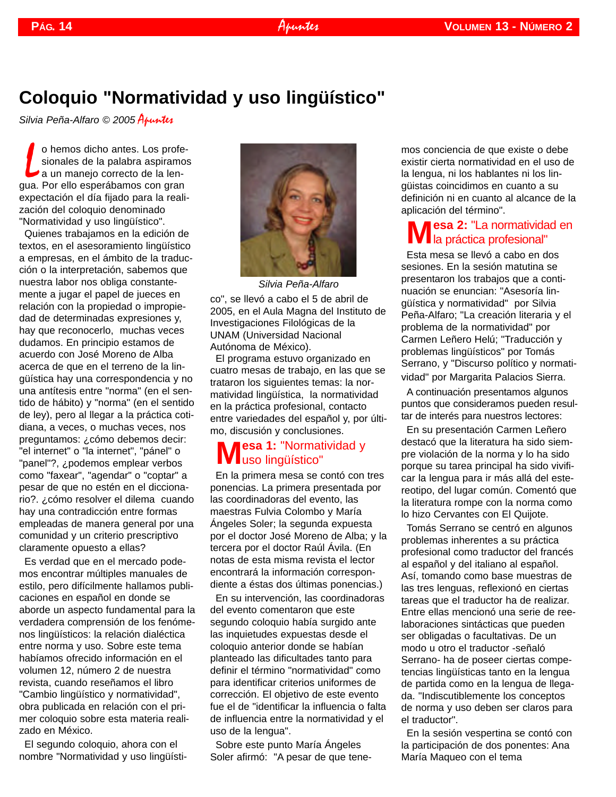## **Coloquio "Normatividad y uso lingüístico"**

*Silvia Peña-Alfaro © 2005* Apuntes

o hemos dicho antes. Los profe<br>sionales de la palabra aspiramo<br>a un manejo correcto de la lengua. Por ello esperábamos con gran o hemos dicho antes. Los profesionales de la palabra aspiramos a un manejo correcto de la lenexpectación el día fijado para la realización del coloquio denominado "Normatividad y uso lingüístico".

Quienes trabajamos en la edición de textos, en el asesoramiento lingüístico a empresas, en el ámbito de la traducción o la interpretación, sabemos que nuestra labor nos obliga constantemente a jugar el papel de jueces en relación con la propiedad o impropiedad de determinadas expresiones y, hay que reconocerlo, muchas veces dudamos. En principio estamos de acuerdo con José Moreno de Alba acerca de que en el terreno de la lingüística hay una correspondencia y no una antítesis entre "norma" (en el sentido de hábito) y "norma" (en el sentido de ley), pero al llegar a la práctica cotidiana, a veces, o muchas veces, nos preguntamos: ¿cómo debemos decir: "el internet" o "la internet", "pánel" o "panel"?, ¿podemos emplear verbos como "faxear", "agendar" o "coptar" a pesar de que no estén en el diccionario?. ¿cómo resolver el dilema cuando hay una contradicción entre formas empleadas de manera general por una comunidad y un criterio prescriptivo claramente opuesto a ellas?

Es verdad que en el mercado podemos encontrar múltiples manuales de estilo, pero difícilmente hallamos publicaciones en español en donde se aborde un aspecto fundamental para la verdadera comprensión de los fenómenos lingüísticos: la relación dialéctica entre norma y uso. Sobre este tema habíamos ofrecido información en el volumen 12, número 2 de nuestra revista, cuando reseñamos el libro "Cambio lingüístico y normatividad", obra publicada en relación con el primer coloquio sobre esta materia realizado en México.

El segundo coloquio, ahora con el nombre "Normatividad y uso lingüísti-



co", se llevó a cabo el 5 de abril de 2005, en el Aula Magna del Instituto de Investigaciones Filológicas de la UNAM (Universidad Nacional Autónoma de México). *Silvia Peña-Alfaro*

El programa estuvo organizado en cuatro mesas de trabajo, en las que se trataron los siguientes temas: la normatividad lingüística, la normatividad en la práctica profesional, contacto entre variedades del español y, por último, discusión y conclusiones.

#### **Mesa 1:** "Normatividad y **I** uso lingüístico"

En la primera mesa se contó con tres ponencias. La primera presentada por las coordinadoras del evento, las maestras Fulvia Colombo y María Ángeles Soler; la segunda expuesta por el doctor José Moreno de Alba; y la tercera por el doctor Raúl Ávila. (En notas de esta misma revista el lector encontrará la información correspondiente a éstas dos últimas ponencias.)

En su intervención, las coordinadoras del evento comentaron que este segundo coloquio había surgido ante las inquietudes expuestas desde el coloquio anterior donde se habían planteado las dificultades tanto para definir el término "normatividad" como para identificar criterios uniformes de corrección. El objetivo de este evento fue el de "identificar la influencia o falta de influencia entre la normatividad y el uso de la lengua".

Sobre este punto María Ángeles Soler afirmó: "A pesar de que tene<span id="page-13-0"></span>mos conciencia de que existe o debe existir cierta normatividad en el uso de la lengua, ni los hablantes ni los lingüistas coincidimos en cuanto a su definición ni en cuanto al alcance de la aplicación del término".

### **Mesa 2: "La normatividad en VI** la práctica profesional"

Esta mesa se llevó a cabo en dos sesiones. En la sesión matutina se presentaron los trabajos que a continuación se enuncian: "Asesoría lingüística y normatividad" por Silvia Peña-Alfaro; "La creación literaria y el problema de la normatividad" por Carmen Leñero Helú; "Traducción y problemas lingüísticos" por Tomás Serrano, y "Discurso político y normatividad" por Margarita Palacios Sierra.

A continuación presentamos algunos puntos que consideramos pueden resultar de interés para nuestros lectores:

En su presentación Carmen Leñero destacó que la literatura ha sido siempre violación de la norma y lo ha sido porque su tarea principal ha sido vivificar la lengua para ir más allá del estereotipo, del lugar común. Comentó que la literatura rompe con la norma como lo hizo Cervantes con El Quijote.

Tomás Serrano se centró en algunos problemas inherentes a su práctica profesional como traductor del francés al español y del italiano al español. Así, tomando como base muestras de las tres lenguas, reflexionó en ciertas tareas que el traductor ha de realizar. Entre ellas mencionó una serie de reelaboraciones sintácticas que pueden ser obligadas o facultativas. De un modo u otro el traductor -señaló Serrano- ha de poseer ciertas competencias lingüísticas tanto en la lengua de partida como en la lengua de llegada. "Indiscutiblemente los conceptos de norma y uso deben ser claros para el traductor".

En la sesión vespertina se contó con la participación de dos ponentes: Ana María Maqueo con el tema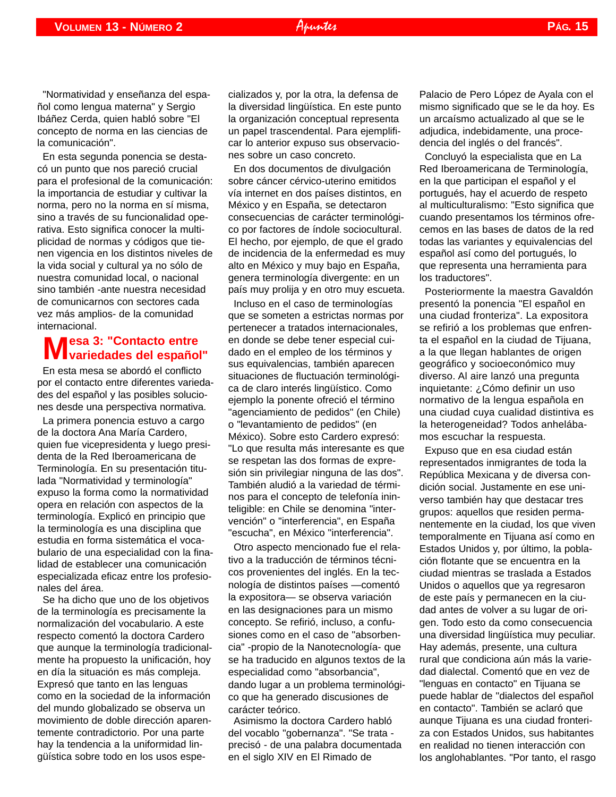En esta segunda ponencia se destacó un punto que nos pareció crucial para el profesional de la comunicación: la importancia de estudiar y cultivar la norma, pero no la norma en sí misma, sino a través de su funcionalidad operativa. Esto significa conocer la multiplicidad de normas y códigos que tienen vigencia en los distintos niveles de la vida social y cultural ya no sólo de nuestra comunidad local, o nacional sino también -ante nuestra necesidad de comunicarnos con sectores cada vez más amplios- de la comunidad internacional.

# **Mesa 3: "Contacto entre variedades del español"**

En esta mesa se abordó el conflicto por el contacto entre diferentes variedades del español y las posibles soluciones desde una perspectiva normativa.

La primera ponencia estuvo a cargo de la doctora Ana María Cardero, quien fue vicepresidenta y luego presidenta de la Red Iberoamericana de Terminología. En su presentación titulada "Normatividad y terminología" expuso la forma como la normatividad opera en relación con aspectos de la terminología. Explicó en principio que la terminología es una disciplina que estudia en forma sistemática el vocabulario de una especialidad con la finalidad de establecer una comunicación especializada eficaz entre los profesionales del área.

Se ha dicho que uno de los objetivos de la terminología es precisamente la normalización del vocabulario. A este respecto comentó la doctora Cardero que aunque la terminología tradicionalmente ha propuesto la unificación, hoy en día la situación es más compleja. Expresó que tanto en las lenguas como en la sociedad de la información del mundo globalizado se observa un movimiento de doble dirección aparentemente contradictorio. Por una parte hay la tendencia a la uniformidad lingüística sobre todo en los usos especializados y, por la otra, la defensa de la diversidad lingüística. En este punto la organización conceptual representa un papel trascendental. Para ejemplificar lo anterior expuso sus observaciones sobre un caso concreto.

En dos documentos de divulgación sobre cáncer cérvico-uterino emitidos vía internet en dos países distintos, en México y en España, se detectaron consecuencias de carácter terminológico por factores de índole sociocultural. El hecho, por ejemplo, de que el grado de incidencia de la enfermedad es muy alto en México y muy bajo en España, genera terminología divergente: en un país muy prolija y en otro muy escueta.

Incluso en el caso de terminologías que se someten a estrictas normas por pertenecer a tratados internacionales, en donde se debe tener especial cuidado en el empleo de los términos y sus equivalencias, también aparecen situaciones de fluctuación terminológica de claro interés lingüístico. Como ejemplo la ponente ofreció el término "agenciamiento de pedidos" (en Chile) o "levantamiento de pedidos" (en México). Sobre esto Cardero expresó: "Lo que resulta más interesante es que se respetan las dos formas de expresión sin privilegiar ninguna de las dos". También aludió a la variedad de términos para el concepto de telefonía ininteligible: en Chile se denomina "intervención" o "interferencia", en España "escucha", en México "interferencia".

Otro aspecto mencionado fue el relativo a la traducción de términos técnicos provenientes del inglés. En la tecnología de distintos países —comentó la expositora— se observa variación en las designaciones para un mismo concepto. Se refirió, incluso, a confusiones como en el caso de "absorbencia" -propio de la Nanotecnología- que se ha traducido en algunos textos de la especialidad como "absorbancia", dando lugar a un problema terminológico que ha generado discusiones de carácter teórico.

Asimismo la doctora Cardero habló del vocablo "gobernanza". "Se trata precisó - de una palabra documentada en el siglo XIV en El Rimado de

Palacio de Pero López de Ayala con el mismo significado que se le da hoy. Es un arcaísmo actualizado al que se le adjudica, indebidamente, una procedencia del inglés o del francés".

Concluyó la especialista que en La Red Iberoamericana de Terminología, en la que participan el español y el portugués, hay el acuerdo de respeto al multiculturalismo: "Esto significa que cuando presentamos los términos ofrecemos en las bases de datos de la red todas las variantes y equivalencias del español así como del portugués, lo que representa una herramienta para los traductores".

Posteriormente la maestra Gavaldón presentó la ponencia "El español en una ciudad fronteriza". La expositora se refirió a los problemas que enfrenta el español en la ciudad de Tijuana, a la que llegan hablantes de origen geográfico y socioeconómico muy diverso. Al aire lanzó una pregunta inquietante: ¿Cómo definir un uso normativo de la lengua española en una ciudad cuya cualidad distintiva es la heterogeneidad? Todos anhelábamos escuchar la respuesta.

Expuso que en esa ciudad están representados inmigrantes de toda la República Mexicana y de diversa condición social. Justamente en ese universo también hay que destacar tres grupos: aquellos que residen permanentemente en la ciudad, los que viven temporalmente en Tijuana así como en Estados Unidos y, por último, la población flotante que se encuentra en la ciudad mientras se traslada a Estados Unidos o aquellos que ya regresaron de este país y permanecen en la ciudad antes de volver a su lugar de origen. Todo esto da como consecuencia una diversidad lingüística muy peculiar. Hay además, presente, una cultura rural que condiciona aún más la variedad dialectal. Comentó que en vez de "lenguas en contacto" en Tijuana se puede hablar de "dialectos del español en contacto". También se aclaró que aunque Tijuana es una ciudad fronteriza con Estados Unidos, sus habitantes en realidad no tienen interacción con los anglohablantes. "Por tanto, el rasgo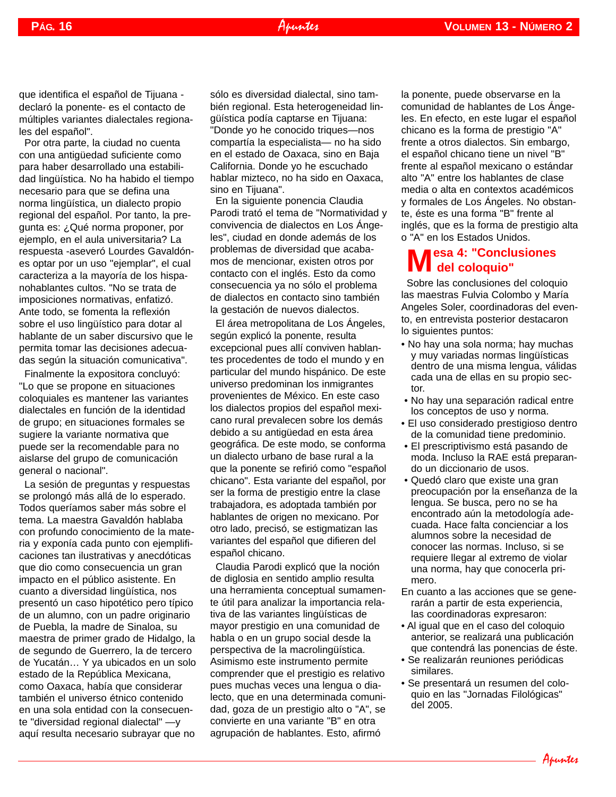que identifica el español de Tijuana declaró la ponente- es el contacto de múltiples variantes dialectales regionales del español".

Por otra parte, la ciudad no cuenta con una antigüedad suficiente como para haber desarrollado una estabilidad lingüística. No ha habido el tiempo necesario para que se defina una norma lingüística, un dialecto propio regional del español. Por tanto, la pregunta es: ¿Qué norma proponer, por ejemplo, en el aula universitaria? La respuesta -aseveró Lourdes Gavaldónes optar por un uso "ejemplar", el cual caracteriza a la mayoría de los hispanohablantes cultos. "No se trata de imposiciones normativas, enfatizó. Ante todo, se fomenta la reflexión sobre el uso lingüístico para dotar al hablante de un saber discursivo que le permita tomar las decisiones adecuadas según la situación comunicativa".

Finalmente la expositora concluyó: "Lo que se propone en situaciones coloquiales es mantener las variantes dialectales en función de la identidad de grupo; en situaciones formales se sugiere la variante normativa que puede ser la recomendable para no aislarse del grupo de comunicación general o nacional".

La sesión de preguntas y respuestas se prolongó más allá de lo esperado. Todos queríamos saber más sobre el tema. La maestra Gavaldón hablaba con profundo conocimiento de la materia y exponía cada punto con ejemplificaciones tan ilustrativas y anecdóticas que dio como consecuencia un gran impacto en el público asistente. En cuanto a diversidad lingüística, nos presentó un caso hipotético pero típico de un alumno, con un padre originario de Puebla, la madre de Sinaloa, su maestra de primer grado de Hidalgo, la de segundo de Guerrero, la de tercero de Yucatán… Y ya ubicados en un solo estado de la República Mexicana, como Oaxaca, había que considerar también el universo étnico contenido en una sola entidad con la consecuente "diversidad regional dialectal" —y aquí resulta necesario subrayar que no

sólo es diversidad dialectal, sino también regional. Esta heterogeneidad lingüística podía captarse en Tijuana: "Donde yo he conocido triques—nos compartía la especialista— no ha sido en el estado de Oaxaca, sino en Baja California. Donde yo he escuchado hablar mizteco, no ha sido en Oaxaca, sino en Tijuana".

En la siguiente ponencia Claudia Parodi trató el tema de "Normatividad y convivencia de dialectos en Los Ángeles", ciudad en donde además de los problemas de diversidad que acabamos de mencionar, existen otros por contacto con el inglés. Esto da como consecuencia ya no sólo el problema de dialectos en contacto sino también la gestación de nuevos dialectos.

El área metropolitana de Los Ángeles, según explicó la ponente, resulta excepcional pues allí conviven hablantes procedentes de todo el mundo y en particular del mundo hispánico. De este universo predominan los inmigrantes provenientes de México. En este caso los dialectos propios del español mexicano rural prevalecen sobre los demás debido a su antigüedad en esta área geográfica. De este modo, se conforma un dialecto urbano de base rural a la que la ponente se refirió como "español chicano". Esta variante del español, por ser la forma de prestigio entre la clase trabajadora, es adoptada también por hablantes de origen no mexicano. Por otro lado, precisó, se estigmatizan las variantes del español que difieren del español chicano.

Claudia Parodi explicó que la noción de diglosia en sentido amplio resulta una herramienta conceptual sumamente útil para analizar la importancia relativa de las variantes lingüísticas de mayor prestigio en una comunidad de habla o en un grupo social desde la perspectiva de la macrolingüística. Asimismo este instrumento permite comprender que el prestigio es relativo pues muchas veces una lengua o dialecto, que en una determinada comunidad, goza de un prestigio alto o "A", se convierte en una variante "B" en otra agrupación de hablantes. Esto, afirmó

la ponente, puede observarse en la comunidad de hablantes de Los Ángeles. En efecto, en este lugar el español chicano es la forma de prestigio "A" frente a otros dialectos. Sin embargo, el español chicano tiene un nivel "B" frente al español mexicano o estándar alto "A" entre los hablantes de clase media o alta en contextos académicos y formales de Los Ángeles. No obstante, éste es una forma "B" frente al inglés, que es la forma de prestigio alta o "A" en los Estados Unidos.

#### **Mesa 4: "Conclusiones del coloquio"**

Sobre las conclusiones del coloquio las maestras Fulvia Colombo y María Angeles Soler, coordinadoras del evento, en entrevista posterior destacaron lo siguientes puntos:

- No hay una sola norma; hay muchas y muy variadas normas lingüísticas dentro de una misma lengua, válidas cada una de ellas en su propio sector.
- No hay una separación radical entre los conceptos de uso y norma.
- El uso considerado prestigioso dentro de la comunidad tiene predominio.
- El prescriptivismo está pasando de moda. Incluso la RAE está preparando un diccionario de usos.
- Quedó claro que existe una gran preocupación por la enseñanza de la lengua. Se busca, pero no se ha encontrado aún la metodología adecuada. Hace falta concienciar a los alumnos sobre la necesidad de conocer las normas. Incluso, si se requiere llegar al extremo de violar una norma, hay que conocerla primero.
- En cuanto a las acciones que se generarán a partir de esta experiencia, las coordinadoras expresaron:
- Al igual que en el caso del coloquio anterior, se realizará una publicación que contendrá las ponencias de éste.
- Se realizarán reuniones periódicas similares.
- Se presentará un resumen del coloquio en las "Jornadas Filológicas" del 2005.

Apuntes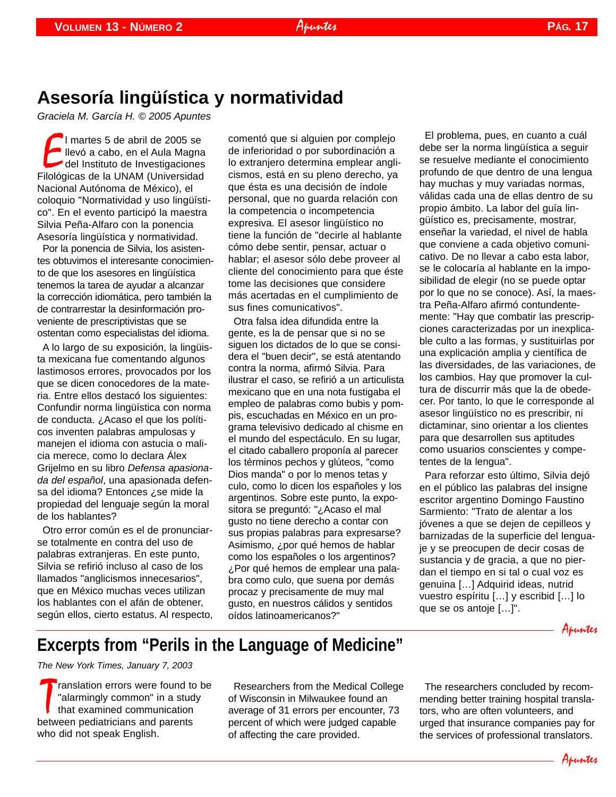## **Asesoría lingüística y normatividad**

*Graciela M. García H. © 2005 Apuntes*

I martes 5 de abril de 2005 se<br>Ilevó a cabo, en el Aula Magna<br>Filológicas de la UNAM (Universidad l martes 5 de abril de 2005 se llevó a cabo, en el Aula Magna del Instituto de Investigaciones Nacional Autónoma de México), el coloquio "Normatividad y uso lingüístico". En el evento participó la maestra Silvia Peña-Alfaro con la ponencia Asesoría lingüística y normatividad.

Por la ponencia de Silvia, los asistentes obtuvimos el interesante conocimiento de que los asesores en lingüística tenemos la tarea de ayudar a alcanzar la corrección idiomática, pero también la de contrarrestar la desinformación proveniente de prescriptivistas que se ostentan como especialistas del idioma.

A lo largo de su exposición, la lingüista mexicana fue comentando algunos lastimosos errores, provocados por los que se dicen conocedores de la materia. Entre ellos destacó los siguientes: Confundir norma lingüística con norma de conducta. ¿Acaso el que los políticos inventen palabras ampulosas y manejen el idioma con astucia o malicia merece, como lo declara Álex Grijelmo en su libro *Defensa apasionada del español*, una apasionada defensa del idioma? Entonces ¿se mide la propiedad del lenguaje según la moral de los hablantes?

Otro error común es el de pronunciarse totalmente en contra del uso de palabras extranjeras. En este punto, Silvia se refirió incluso al caso de los llamados "anglicismos innecesarios", que en México muchas veces utilizan los hablantes con el afán de obtener, según ellos, cierto estatus. Al respecto, comentó que si alguien por complejo de inferioridad o por subordinación a lo extranjero determina emplear anglicismos, está en su pleno derecho, ya que ésta es una decisión de índole personal, que no guarda relación con la competencia o incompetencia expresiva. El asesor lingüístico no tiene la función de "decirle al hablante cómo debe sentir, pensar, actuar o hablar; el asesor sólo debe proveer al cliente del conocimiento para que éste tome las decisiones que considere más acertadas en el cumplimiento de sus fines comunicativos".

Otra falsa idea difundida entre la gente, es la de pensar que si no se siguen los dictados de lo que se considera el "buen decir", se está atentando contra la norma, afirmó Silvia. Para ilustrar el caso, se refirió a un articulista mexicano que en una nota fustigaba el empleo de palabras como bubis y pompis, escuchadas en México en un programa televisivo dedicado al chisme en el mundo del espectáculo. En su lugar, el citado caballero proponía al parecer los términos pechos y glúteos, "como Dios manda" o por lo menos tetas y culo, como lo dicen los españoles y los argentinos. Sobre este punto, la expositora se preguntó: "¿Acaso el mal gusto no tiene derecho a contar con sus propias palabras para expresarse? Asimismo, ¿por qué hemos de hablar como los españoles o los argentinos? ¿Por qué hemos de emplear una palabra como culo, que suena por demás procaz y precisamente de muy mal gusto, en nuestros cálidos y sentidos oídos latinoamericanos?"

<span id="page-16-0"></span>El problema, pues, en cuanto a cuál debe ser la norma lingüística a seguir se resuelve mediante el conocimiento profundo de que dentro de una lengua hay muchas y muy variadas normas, válidas cada una de ellas dentro de su propio ámbito. La labor del guía lingüístico es, precisamente, mostrar, enseñar la variedad, el nivel de habla que conviene a cada objetivo comunicativo. De no llevar a cabo esta labor, se le colocaría al hablante en la imposibilidad de elegir (no se puede optar por lo que no se conoce). Así, la maestra Peña-Alfaro afirmó contundentemente: "Hay que combatir las prescripciones caracterizadas por un inexplicable culto a las formas, y sustituirlas por una explicación amplia y científica de las diversidades, de las variaciones, de los cambios. Hay que promover la cultura de discurrir más que la de obedecer. Por tanto, lo que le corresponde al asesor lingüístico no es prescribir, ni dictaminar, sino orientar a los clientes para que desarrollen sus aptitudes como usuarios conscientes y competentes de la lengua".

Para reforzar esto último, Silvia dejó en el público las palabras del insigne escritor argentino Domingo Faustino Sarmiento: "Trato de alentar a los jóvenes a que se dejen de cepilleos y barnizadas de la superficie del lenguaje y se preocupen de decir cosas de sustancia y de gracia, a que no pierdan el tiempo en si tal o cual voz es genuina […] Adquirid ideas, nutrid vuestro espíritu […] y escribid […] lo que se os antoje […]".

## **Excerpts from "Perils in the Language of Medicine"**

*The New York Times, January 7, 2003*

Translation errors were found to<br>
"alarmingly common" in a student<br>
between pediatricians and parents ranslation errors were found to be "alarmingly common" in a study that examined communication who did not speak English.

Researchers from the Medical College of Wisconsin in Milwaukee found an average of 31 errors per encounter, 73 percent of which were judged capable of affecting the care provided.

The researchers concluded by recommending better training hospital translators, who are often volunteers, and urged that insurance companies pay for the services of professional translators.

Apuntes

Apuntes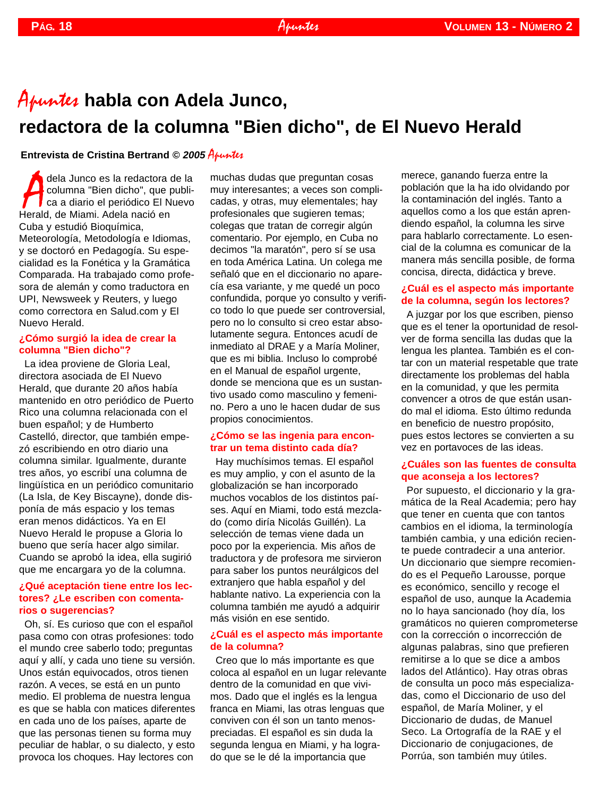# Apuntes **habla con Adela Junco, redactora de la columna "Bien dicho", de El Nuevo Herald**

#### **Entrevista de Cristina Bertrand © 2005 Apuntes**

dela Junco es la redactora<br>columna "Bien dicho", que<br>ca a diario el periódico El N<br>Herald, de Miami. Adela nació en dela Junco es la redactora de la columna "Bien dicho", que publica a diario el periódico El Nuevo Cuba y estudió Bioquímica, Meteorología, Metodología e Idiomas, y se doctoró en Pedagogía. Su especialidad es la Fonética y la Gramática Comparada. Ha trabajado como profesora de alemán y como traductora en UPI, Newsweek y Reuters, y luego como correctora en Salud.com y El Nuevo Herald.

#### **¿Cómo surgió la idea de crear la columna "Bien dicho"?**

La idea proviene de Gloria Leal, directora asociada de El Nuevo Herald, que durante 20 años había mantenido en otro periódico de Puerto Rico una columna relacionada con el buen español; y de Humberto Castelló, director, que también empezó escribiendo en otro diario una columna similar. Igualmente, durante tres años, yo escribí una columna de lingüística en un periódico comunitario (La Isla, de Key Biscayne), donde disponía de más espacio y los temas eran menos didácticos. Ya en El Nuevo Herald le propuse a Gloria lo bueno que sería hacer algo similar. Cuando se aprobó la idea, ella sugirió que me encargara yo de la columna.

#### **¿Qué aceptación tiene entre los lectores? ¿Le escriben con comentarios o sugerencias?**

Oh, sí. Es curioso que con el español pasa como con otras profesiones: todo el mundo cree saberlo todo; preguntas aquí y allí, y cada uno tiene su versión. Unos están equivocados, otros tienen razón. A veces, se está en un punto medio. El problema de nuestra lengua es que se habla con matices diferentes en cada uno de los países, aparte de que las personas tienen su forma muy peculiar de hablar, o su dialecto, y esto provoca los choques. Hay lectores con

muchas dudas que preguntan cosas muy interesantes; a veces son complicadas, y otras, muy elementales; hay profesionales que sugieren temas; colegas que tratan de corregir algún comentario. Por ejemplo, en Cuba no decimos "la maratón", pero sí se usa en toda América Latina. Un colega me señaló que en el diccionario no aparecía esa variante, y me quedé un poco confundida, porque yo consulto y verifico todo lo que puede ser controversial, pero no lo consulto si creo estar absolutamente segura. Entonces acudí de inmediato al DRAE y a María Moliner, que es mi biblia. Incluso lo comprobé en el Manual de español urgente, donde se menciona que es un sustantivo usado como masculino y femenino. Pero a uno le hacen dudar de sus propios conocimientos.

#### **¿Cómo se las ingenia para encontrar un tema distinto cada día?**

Hay muchísimos temas. El español es muy amplio, y con el asunto de la globalización se han incorporado muchos vocablos de los distintos países. Aquí en Miami, todo está mezclado (como diría Nicolás Guillén). La selección de temas viene dada un poco por la experiencia. Mis años de traductora y de profesora me sirvieron para saber los puntos neurálgicos del extranjero que habla español y del hablante nativo. La experiencia con la columna también me ayudó a adquirir más visión en ese sentido.

#### **¿Cuál es el aspecto más importante de la columna?**

Creo que lo más importante es que coloca al español en un lugar relevante dentro de la comunidad en que vivimos. Dado que el inglés es la lengua franca en Miami, las otras lenguas que conviven con él son un tanto menospreciadas. El español es sin duda la segunda lengua en Miami, y ha logrado que se le dé la importancia que

<span id="page-17-0"></span>merece, ganando fuerza entre la población que la ha ido olvidando por la contaminación del inglés. Tanto a aquellos como a los que están aprendiendo español, la columna les sirve para hablarlo correctamente. Lo esencial de la columna es comunicar de la manera más sencilla posible, de forma concisa, directa, didáctica y breve.

#### **¿Cuál es el aspecto más importante de la columna, según los lectores?**

A juzgar por los que escriben, pienso que es el tener la oportunidad de resolver de forma sencilla las dudas que la lengua les plantea. También es el contar con un material respetable que trate directamente los problemas del habla en la comunidad, y que les permita convencer a otros de que están usando mal el idioma. Esto último redunda en beneficio de nuestro propósito, pues estos lectores se convierten a su vez en portavoces de las ideas.

#### **¿Cuáles son las fuentes de consulta que aconseja a los lectores?**

Por supuesto, el diccionario y la gramática de la Real Academia; pero hay que tener en cuenta que con tantos cambios en el idioma, la terminología también cambia, y una edición reciente puede contradecir a una anterior. Un diccionario que siempre recomiendo es el Pequeño Larousse, porque es económico, sencillo y recoge el español de uso, aunque la Academia no lo haya sancionado (hoy día, los gramáticos no quieren comprometerse con la corrección o incorrección de algunas palabras, sino que prefieren remitirse a lo que se dice a ambos lados del Atlántico). Hay otras obras de consulta un poco más especializadas, como el Diccionario de uso del español, de María Moliner, y el Diccionario de dudas, de Manuel Seco. La Ortografía de la RAE y el Diccionario de conjugaciones, de Porrúa, son también muy útiles.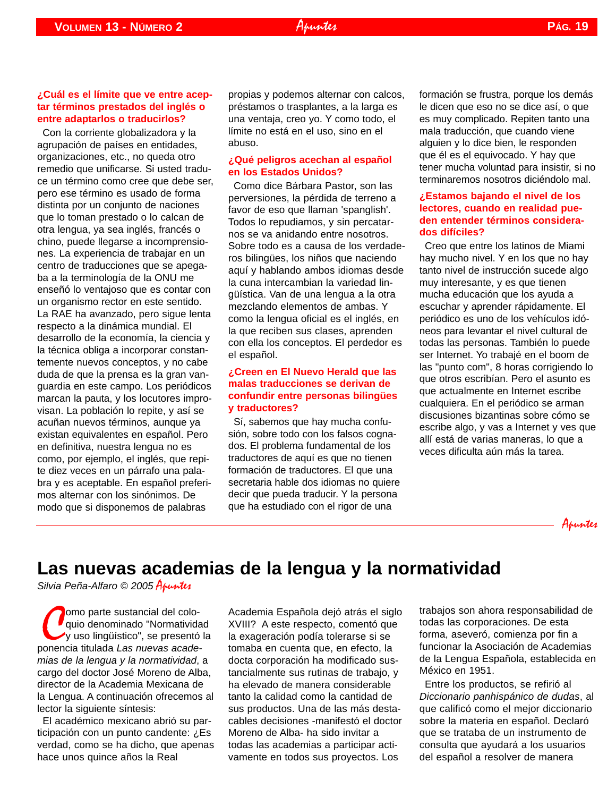#### **¿Cuál es el límite que ve entre aceptar términos prestados del inglés o entre adaptarlos o traducirlos?**

Con la corriente globalizadora y la agrupación de países en entidades, organizaciones, etc., no queda otro remedio que unificarse. Si usted traduce un término como cree que debe ser, pero ese término es usado de forma distinta por un conjunto de naciones que lo toman prestado o lo calcan de otra lengua, ya sea inglés, francés o chino, puede llegarse a incomprensiones. La experiencia de trabajar en un centro de traducciones que se apegaba a la terminología de la ONU me enseñó lo ventajoso que es contar con un organismo rector en este sentido. La RAE ha avanzado, pero sigue lenta respecto a la dinámica mundial. El desarrollo de la economía, la ciencia y la técnica obliga a incorporar constantemente nuevos conceptos, y no cabe duda de que la prensa es la gran vanguardia en este campo. Los periódicos marcan la pauta, y los locutores improvisan. La población lo repite, y así se acuñan nuevos términos, aunque ya existan equivalentes en español. Pero en definitiva, nuestra lengua no es como, por ejemplo, el inglés, que repite diez veces en un párrafo una palabra y es aceptable. En español preferimos alternar con los sinónimos. De modo que si disponemos de palabras

propias y podemos alternar con calcos, préstamos o trasplantes, a la larga es una ventaja, creo yo. Y como todo, el límite no está en el uso, sino en el abuso.

#### **¿Qué peligros acechan al español en los Estados Unidos?**

Como dice Bárbara Pastor, son las perversiones, la pérdida de terreno a favor de eso que llaman 'spanglish'. Todos lo repudiamos, y sin percatarnos se va anidando entre nosotros. Sobre todo es a causa de los verdaderos bilingües, los niños que naciendo aquí y hablando ambos idiomas desde la cuna intercambian la variedad lingüística. Van de una lengua a la otra mezclando elementos de ambas. Y como la lengua oficial es el inglés, en la que reciben sus clases, aprenden con ella los conceptos. El perdedor es el español.

#### **¿Creen en El Nuevo Herald que las malas traducciones se derivan de confundir entre personas bilingües y traductores?**

Sí, sabemos que hay mucha confusión, sobre todo con los falsos cognados. El problema fundamental de los traductores de aquí es que no tienen formación de traductores. El que una secretaria hable dos idiomas no quiere decir que pueda traducir. Y la persona que ha estudiado con el rigor de una

<span id="page-18-0"></span>formación se frustra, porque los demás le dicen que eso no se dice así, o que es muy complicado. Repiten tanto una mala traducción, que cuando viene alguien y lo dice bien, le responden que él es el equivocado. Y hay que tener mucha voluntad para insistir, si no terminaremos nosotros diciéndolo mal.

#### **¿Estamos bajando el nivel de los lectores, cuando en realidad pueden entender términos considerados difíciles?**

Creo que entre los latinos de Miami hay mucho nivel. Y en los que no hay tanto nivel de instrucción sucede algo muy interesante, y es que tienen mucha educación que los ayuda a escuchar y aprender rápidamente. El periódico es uno de los vehículos idóneos para levantar el nivel cultural de todas las personas. También lo puede ser Internet. Yo trabajé en el boom de las "punto com", 8 horas corrigiendo lo que otros escribían. Pero el asunto es que actualmente en Internet escribe cualquiera. En el periódico se arman discusiones bizantinas sobre cómo se escribe algo, y vas a Internet y ves que allí está de varias maneras, lo que a veces dificulta aún más la tarea.



## **Las nuevas academias de la lengua y la normatividad**

*Silvia Peña-Alfaro © 2005* Apuntes

**C**omo parte sustancial del colo-<br>quio denominado "Normativida"<br>ponencia titulada *Las nuevas acade*omo parte sustancial del coloquio denominado "Normatividad y uso lingüístico", se presentó la *mias de la lengua y la normatividad*, a cargo del doctor José Moreno de Alba, director de la Academia Mexicana de la Lengua. A continuación ofrecemos al lector la siguiente síntesis:

El académico mexicano abrió su participación con un punto candente: ¿Es verdad, como se ha dicho, que apenas hace unos quince años la Real

Academia Española dejó atrás el siglo XVIII? A este respecto, comentó que la exageración podía tolerarse si se tomaba en cuenta que, en efecto, la docta corporación ha modificado sustancialmente sus rutinas de trabajo, y ha elevado de manera considerable tanto la calidad como la cantidad de sus productos. Una de las más destacables decisiones -manifestó el doctor Moreno de Alba- ha sido invitar a todas las academias a participar activamente en todos sus proyectos. Los

trabajos son ahora responsabilidad de todas las corporaciones. De esta forma, aseveró, comienza por fin a funcionar la Asociación de Academias de la Lengua Española, establecida en México en 1951.

Entre los productos, se refirió al *Diccionario panhispánico de dudas*, al que calificó como el mejor diccionario sobre la materia en español. Declaró que se trataba de un instrumento de consulta que ayudará a los usuarios del español a resolver de manera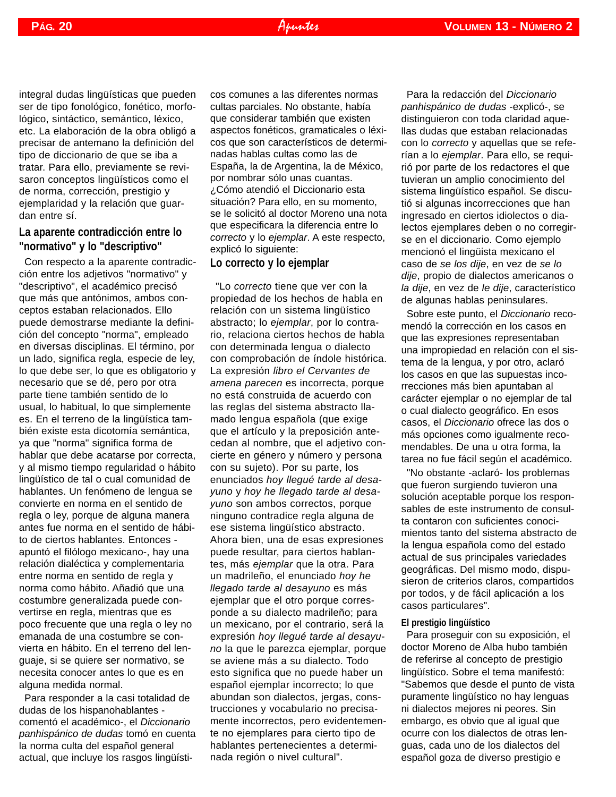integral dudas lingüísticas que pueden ser de tipo fonológico, fonético, morfológico, sintáctico, semántico, léxico, etc. La elaboración de la obra obligó a precisar de antemano la definición del tipo de diccionario de que se iba a tratar. Para ello, previamente se revisaron conceptos lingüísticos como el de norma, corrección, prestigio y ejemplaridad y la relación que guardan entre sí.

#### **La aparente contradicción entre lo "normativo" y lo "descriptivo"**

Con respecto a la aparente contradicción entre los adjetivos "normativo" y "descriptivo", el académico precisó que más que antónimos, ambos conceptos estaban relacionados. Ello puede demostrarse mediante la definición del concepto "norma", empleado en diversas disciplinas. El término, por un lado, significa regla, especie de ley, lo que debe ser, lo que es obligatorio y necesario que se dé, pero por otra parte tiene también sentido de lo usual, lo habitual, lo que simplemente es. En el terreno de la lingüística también existe esta dicotomía semántica, ya que "norma" significa forma de hablar que debe acatarse por correcta, y al mismo tiempo regularidad o hábito lingüístico de tal o cual comunidad de hablantes. Un fenómeno de lengua se convierte en norma en el sentido de regla o ley, porque de alguna manera antes fue norma en el sentido de hábito de ciertos hablantes. Entonces apuntó el filólogo mexicano-, hay una relación dialéctica y complementaria entre norma en sentido de regla y norma como hábito. Añadió que una costumbre generalizada puede convertirse en regla, mientras que es poco frecuente que una regla o ley no emanada de una costumbre se convierta en hábito. En el terreno del lenguaje, si se quiere ser normativo, se necesita conocer antes lo que es en alguna medida normal.

Para responder a la casi totalidad de dudas de los hispanohablantes comentó el académico-, el *Diccionario panhispánico de dudas* tomó en cuenta la norma culta del español general actual, que incluye los rasgos lingüísti-

cos comunes a las diferentes normas cultas parciales. No obstante, había que considerar también que existen aspectos fonéticos, gramaticales o léxicos que son característicos de determinadas hablas cultas como las de España, la de Argentina, la de México, por nombrar sólo unas cuantas. ¿Cómo atendió el Diccionario esta situación? Para ello, en su momento, se le solicitó al doctor Moreno una nota que especificara la diferencia entre lo *correcto* y lo *ejemplar*. A este respecto, explicó lo siguiente:

#### **Lo correcto y lo ejemplar**

"Lo *correcto* tiene que ver con la propiedad de los hechos de habla en relación con un sistema lingüístico abstracto; lo *ejemplar*, por lo contrario, relaciona ciertos hechos de habla con determinada lengua o dialecto con comprobación de índole histórica. La expresión *libro el Cervantes de amena parecen* es incorrecta, porque no está construida de acuerdo con las reglas del sistema abstracto llamado lengua española (que exige que el artículo y la preposición antecedan al nombre, que el adjetivo concierte en género y número y persona con su sujeto). Por su parte, los enunciados *hoy llegué tarde al desayuno* y *hoy he llegado tarde al desayuno* son ambos correctos, porque ninguno contradice regla alguna de ese sistema lingüístico abstracto. Ahora bien, una de esas expresiones puede resultar, para ciertos hablantes, más *ejemplar* que la otra. Para un madrileño, el enunciado *hoy he llegado tarde al desayuno* es más ejemplar que el otro porque corresponde a su dialecto madrileño; para un mexicano, por el contrario, será la expresión *hoy llegué tarde al desayuno* la que le parezca ejemplar, porque se aviene más a su dialecto. Todo esto significa que no puede haber un español ejemplar incorrecto; lo que abundan son dialectos, jergas, construcciones y vocabulario no precisamente incorrectos, pero evidentemente no ejemplares para cierto tipo de hablantes pertenecientes a determinada región o nivel cultural".

Para la redacción del *Diccionario panhispánico de dudas* -explicó-, se distinguieron con toda claridad aquellas dudas que estaban relacionadas con lo *correcto* y aquellas que se referían a lo *ejemplar*. Para ello, se requirió por parte de los redactores el que tuvieran un amplio conocimiento del sistema lingüístico español. Se discutió si algunas incorrecciones que han ingresado en ciertos idiolectos o dialectos ejemplares deben o no corregirse en el diccionario. Como ejemplo mencionó el lingüista mexicano el caso de *se los dije*, en vez de *se lo dije*, propio de dialectos americanos o *la dije*, en vez de *le dije*, característico de algunas hablas peninsulares.

Sobre este punto, el *Diccionario* recomendó la corrección en los casos en que las expresiones representaban una impropiedad en relación con el sistema de la lengua, y por otro, aclaró los casos en que las supuestas incorrecciones más bien apuntaban al carácter ejemplar o no ejemplar de tal o cual dialecto geográfico. En esos casos, el *Diccionario* ofrece las dos o más opciones como igualmente recomendables. De una u otra forma, la tarea no fue fácil según el académico.

"No obstante -aclaró- los problemas que fueron surgiendo tuvieron una solución aceptable porque los responsables de este instrumento de consulta contaron con suficientes conocimientos tanto del sistema abstracto de la lengua española como del estado actual de sus principales variedades geográficas. Del mismo modo, dispusieron de criterios claros, compartidos por todos, y de fácil aplicación a los casos particulares".

#### **El prestigio lingüístico**

Para proseguir con su exposición, el doctor Moreno de Alba hubo también de referirse al concepto de prestigio lingüístico. Sobre el tema manifestó: "Sabemos que desde el punto de vista puramente lingüístico no hay lenguas ni dialectos mejores ni peores. Sin embargo, es obvio que al igual que ocurre con los dialectos de otras lenguas, cada uno de los dialectos del español goza de diverso prestigio e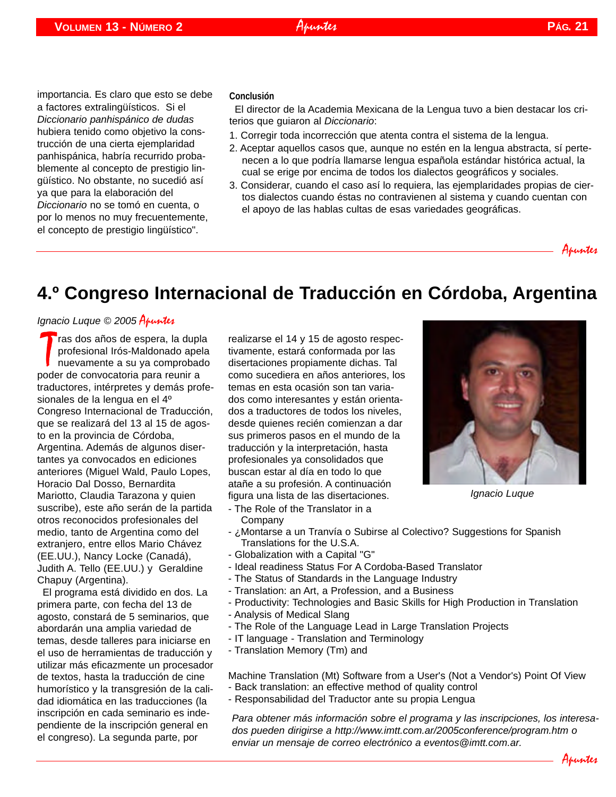importancia. Es claro que esto se debe a factores extralingüísticos. Si el *Diccionario panhispánico de dudas* hubiera tenido como objetivo la construcción de una cierta ejemplaridad panhispánica, habría recurrido probablemente al concepto de prestigio lingüístico. No obstante, no sucedió así ya que para la elaboración del *Diccionario* no se tomó en cuenta, o por lo menos no muy frecuentemente, el concepto de prestigio lingüístico".

#### **Conclusión**

El director de la Academia Mexicana de la Lengua tuvo a bien destacar los criterios que guiaron al *Diccionario*:

- 1. Corregir toda incorrección que atenta contra el sistema de la lengua.
- 2. Aceptar aquellos casos que, aunque no estén en la lengua abstracta, sí pertenecen a lo que podría llamarse lengua española estándar histórica actual, la cual se erige por encima de todos los dialectos geográficos y sociales.
- 3. Considerar, cuando el caso así lo requiera, las ejemplaridades propias de ciertos dialectos cuando éstas no contravienen al sistema y cuando cuentan con el apoyo de las hablas cultas de esas variedades geográficas.

<span id="page-20-0"></span>Apuntes

## **4.º Congreso Internacional de Traducción en Córdoba, Argentina**

#### *Ignacio Luque* © 2005 Apuntes

Tras dos años de espera, la dup<br>profesional Irós-Maldonado ape<br>poder de convocatoria para reunir a **T**ras dos años de espera, la dupla profesional Irós-Maldonado apela nuevamente a su ya comprobado traductores, intérpretes y demás profesionales de la lengua en el 4º Congreso Internacional de Traducción, que se realizará del 13 al 15 de agosto en la provincia de Córdoba, Argentina. Además de algunos disertantes ya convocados en ediciones anteriores (Miguel Wald, Paulo Lopes, Horacio Dal Dosso, Bernardita Mariotto, Claudia Tarazona y quien suscribe), este año serán de la partida otros reconocidos profesionales del medio, tanto de Argentina como del extranjero, entre ellos Mario Chávez (EE.UU.), Nancy Locke (Canadá), Judith A. Tello (EE.UU.) y Geraldine Chapuy (Argentina).

El programa está dividido en dos. La primera parte, con fecha del 13 de agosto, constará de 5 seminarios, que abordarán una amplia variedad de temas, desde talleres para iniciarse en el uso de herramientas de traducción y utilizar más eficazmente un procesador de textos, hasta la traducción de cine humorístico y la transgresión de la calidad idiomática en las traducciones (la inscripción en cada seminario es independiente de la inscripción general en el congreso). La segunda parte, por

realizarse el 14 y 15 de agosto respectivamente, estará conformada por las disertaciones propiamente dichas. Tal como sucediera en años anteriores, los temas en esta ocasión son tan variados como interesantes y están orientados a traductores de todos los niveles, desde quienes recién comienzan a dar sus primeros pasos en el mundo de la traducción y la interpretación, hasta profesionales ya consolidados que buscan estar al día en todo lo que atañe a su profesión. A continuación figura una lista de las disertaciones.

- The Role of the Translator in a Company
- *Ignacio Luque*
- 
- ¿Montarse a un Tranvía o Subirse al Colectivo? Suggestions for Spanish Translations for the U.S.A.
- Globalization with a Capital "G"
- Ideal readiness Status For A Cordoba-Based Translator
- The Status of Standards in the Language Industry
- Translation: an Art, a Profession, and a Business
- Productivity: Technologies and Basic Skills for High Production in Translation
- Analysis of Medical Slang
- The Role of the Language Lead in Large Translation Projects
- IT language Translation and Terminology
- Translation Memory (Tm) and

Machine Translation (Mt) Software from a User's (Not a Vendor's) Point Of View

- Back translation: an effective method of quality control
- Responsabilidad del Traductor ante su propia Lengua

*Para obtener más información sobre el programa y las inscripciones, los interesados pueden dirigirse a [http://www.imtt.com.ar/2005conference/program.htm](http://www.imtt.com.ar/2005conference/program.htm ) o enviar un mensaje de correo electrónico a [eventos@imtt.com.ar.](mailto:eventos@imtt.com.ar)*



Apuntes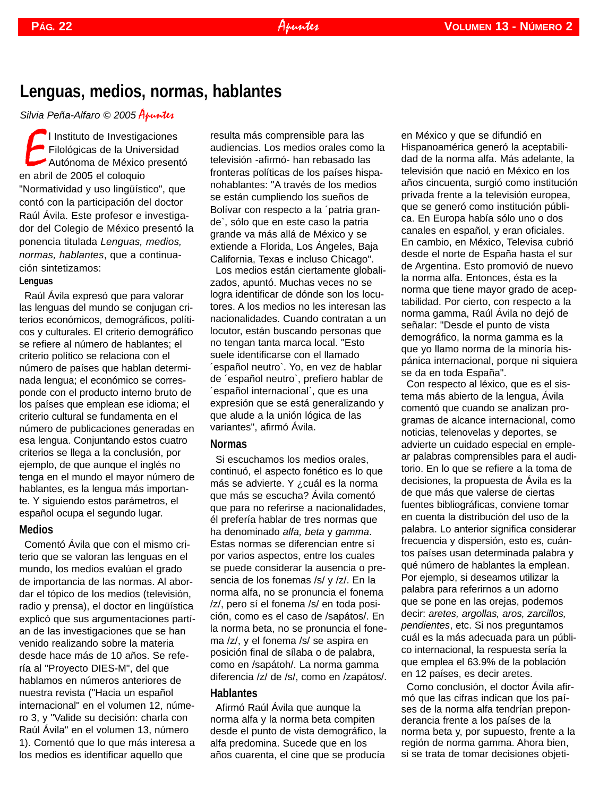## **Lenguas, medios, normas, hablantes**

*Silvia Peña-Alfaro © 2005* Apuntes

El Instituto de Investiga<br>
Filológicas de la Univ<br>
Autónoma de México<br>
en abril de 2005 el coloquio l Instituto de Investigaciones Filológicas de la Universidad Autónoma de México presentó "Normatividad y uso lingüístico", que contó con la participación del doctor Raúl Ávila. Este profesor e investigador del Colegio de México presentó la ponencia titulada *Lenguas, medios, normas, hablantes*, que a continuación sintetizamos:

#### **Lenguas**

Raúl Ávila expresó que para valorar las lenguas del mundo se conjugan criterios económicos, demográficos, políticos y culturales. El criterio demográfico se refiere al número de hablantes; el criterio político se relaciona con el número de países que hablan determinada lengua; el económico se corresponde con el producto interno bruto de los países que emplean ese idioma; el criterio cultural se fundamenta en el número de publicaciones generadas en esa lengua. Conjuntando estos cuatro criterios se llega a la conclusión, por ejemplo, de que aunque el inglés no tenga en el mundo el mayor número de hablantes, es la lengua más importante. Y siguiendo estos parámetros, el español ocupa el segundo lugar.

#### **Medios**

Comentó Ávila que con el mismo criterio que se valoran las lenguas en el mundo, los medios evalúan el grado de importancia de las normas. Al abordar el tópico de los medios (televisión, radio y prensa), el doctor en lingüística explicó que sus argumentaciones partían de las investigaciones que se han venido realizando sobre la materia desde hace más de 10 años. Se refería al "Proyecto DIES-M", del que hablamos en números anteriores de nuestra revista ("Hacia un español internacional" en el volumen 12, número 3, y "Valide su decisión: charla con Raúl Ávila" en el volumen 13, número 1). Comentó que lo que más interesa a los medios es identificar aquello que

resulta más comprensible para las audiencias. Los medios orales como la televisión -afirmó- han rebasado las fronteras políticas de los países hispanohablantes: "A través de los medios se están cumpliendo los sueños de Bolívar con respecto a la ´patria grande`, sólo que en este caso la patria grande va más allá de México y se extiende a Florida, Los Ángeles, Baja California, Texas e incluso Chicago". Los medios están ciertamente globalizados, apuntó. Muchas veces no se logra identificar de dónde son los locutores. A los medios no les interesan las nacionalidades. Cuando contratan a un locutor, están buscando personas que no tengan tanta marca local. "Esto suele identificarse con el llamado ´español neutro`. Yo, en vez de hablar

de ´español neutro`, prefiero hablar de ´español internacional`, que es una expresión que se está generalizando y que alude a la unión lógica de las variantes", afirmó Ávila.

#### **Normas**

Si escuchamos los medios orales, continuó, el aspecto fonético es lo que más se advierte. Y ¿cuál es la norma que más se escucha? Ávila comentó que para no referirse a nacionalidades, él prefería hablar de tres normas que ha denominado *alfa, beta* y *gamma*. Estas normas se diferencian entre sí por varios aspectos, entre los cuales se puede considerar la ausencia o presencia de los fonemas /s/ y /z/. En la norma alfa, no se pronuncia el fonema /z/, pero sí el fonema /s/ en toda posición, como es el caso de /sapátos/. En la norma beta, no se pronuncia el fonema /z/, y el fonema /s/ se aspira en posición final de sílaba o de palabra, como en /sapátoh/. La norma gamma diferencia /z/ de /s/, como en /zapátos/.

#### **Hablantes**

Afirmó Raúl Ávila que aunque la norma alfa y la norma beta compiten desde el punto de vista demográfico, la alfa predomina. Sucede que en los años cuarenta, el cine que se producía

<span id="page-21-0"></span>en México y que se difundió en Hispanoamérica generó la aceptabilidad de la norma alfa. Más adelante, la televisión que nació en México en los años cincuenta, surgió como institución privada frente a la televisión europea, que se generó como institución pública. En Europa había sólo uno o dos canales en español, y eran oficiales. En cambio, en México, Televisa cubrió desde el norte de España hasta el sur de Argentina. Esto promovió de nuevo la norma alfa. Entonces, ésta es la norma que tiene mayor grado de aceptabilidad. Por cierto, con respecto a la norma gamma, Raúl Ávila no dejó de señalar: "Desde el punto de vista demográfico, la norma gamma es la que yo llamo norma de la minoría hispánica internacional, porque ni siquiera se da en toda España".

Con respecto al léxico, que es el sistema más abierto de la lengua, Avila comentó que cuando se analizan programas de alcance internacional, como noticias, telenovelas y deportes, se advierte un cuidado especial en emplear palabras comprensibles para el auditorio. En lo que se refiere a la toma de decisiones, la propuesta de Ávila es la de que más que valerse de ciertas fuentes bibliográficas, conviene tomar en cuenta la distribución del uso de la palabra. Lo anterior significa considerar frecuencia y dispersión, esto es, cuántos países usan determinada palabra y qué número de hablantes la emplean. Por ejemplo, si deseamos utilizar la palabra para referirnos a un adorno que se pone en las orejas, podemos decir: *aretes, argollas, aros, zarcillos, pendientes*, etc. Si nos preguntamos cuál es la más adecuada para un público internacional, la respuesta sería la que emplea el 63.9% de la población en 12 países, es decir aretes.

Como conclusión, el doctor Ávila afirmó que las cifras indican que los países de la norma alfa tendrían preponderancia frente a los países de la norma beta y, por supuesto, frente a la región de norma gamma. Ahora bien, si se trata de tomar decisiones objeti-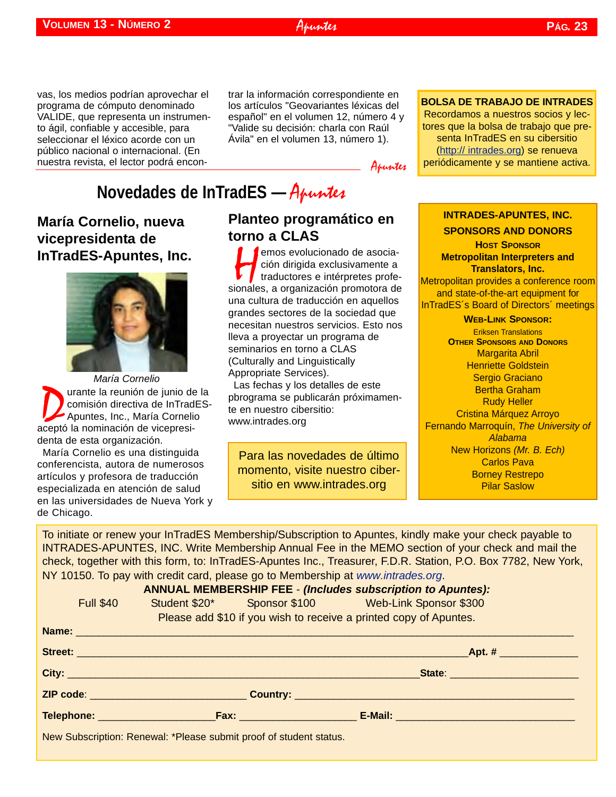#### vas, los medios podrían aprovechar el programa de cómputo denominado VALIDE, que representa un instrumento ágil, confiable y accesible, para seleccionar el léxico acorde con un público nacional o internacional. (En nuestra revista, el lector podrá encon-

trar la información correspondiente en los artículos "Geovariantes léxicas del español" en el volumen 12, número 4 y "Valide su decisión: charla con Raúl Ávila" en el volumen 13, número 1).

Apuntes

## **Novedades de InTradES —** Apuntes

### **María Cornelio, nueva vicepresidenta de InTradES-Apuntes, Inc.**



**D** urante la reunión de junio de la<br>comisión directiva de InTradES<br>Apuntes, Inc., María Cornelio<br>ceptó la nominación de vicepresicomisión directiva de InTradES-Apuntes, Inc., María Cornelio aceptó la nominación de vicepresidenta de esta organización. *María Cornelio*

María Cornelio es una distinguida conferencista, autora de numerosos artículos y profesora de traducción especializada en atención de salud en las universidades de Nueva York y de Chicago.

### **Planteo programático en torno a CLAS**

emos evolucionado de asocia-<br>
ción dirigida exclusivamente a<br>
traductores e intérpretes profe-<br>
sionales, a organización promotora de ción dirigida exclusivamente a traductores e intérpretes profeuna cultura de traducción en aquellos grandes sectores de la sociedad que necesitan nuestros servicios. Esto nos lleva a proyectar un programa de seminarios en torno a CLAS (Culturally and Linguistically Appropriate Services).

Las fechas y los detalles de este pbrograma se publicarán próximamente en nuestro cibersitio: [www.intrades.org](http://intrades.org)

Para las novedades de último momento, visite nuestro cibersitio en [www.intrades.org](http:// intrades.org)

#### **INTRADES-APUNTES, INC.**

<span id="page-22-0"></span>**BOLSA DE TRABAJO DE INTRADES** Recordamos a nuestros socios y lectores que la bolsa de trabajo que presenta InTradES en su cibersitio [\(http:// intrades.org\)](http:// intrades.org) se renueva periódicamente y se mantiene activa.

**SPONSORS AND DONORS HOST SPONSOR Metropolitan Interpreters and Translators, Inc.**  Metropolitan provides a conference room and state-of-the-art equipment for InTradES´s Board of Directors´ meetings **WEB-LINK SPONSOR:** Eriksen Translations **OTHER SPONSORS AND DONORS** Margarita Abril Henriette Goldstein Sergio Graciano Bertha Graham Rudy Heller Cristina Márquez Arroyo Fernando Marroquín, *The University of Alabama* New Horizons *(Mr. B. Ech)* Carlos Pava

Borney Restrepo Pilar Saslow

To initiate or renew your InTradES Membership/Subscription to Apuntes, kindly make your check payable to INTRADES-APUNTES, INC. Write Membership Annual Fee in the MEMO section of your check and mail the check, together with this form, to: InTradES-Apuntes Inc., Treasurer, F.D.R. Station, P.O. Box 7782, New York, NY 10150. To pay with credit card, please go to Membership at *[www.intrades.org](http://intrades.org)*.

**ANNUAL MEMBERSHIP FEE** - *(Includes subscription to Apuntes):*

| <b>Full \$40</b> |                                                                   |                                                                    | Student \$20* Sponsor \$100 Web-Link Sponsor \$300 |  |  |
|------------------|-------------------------------------------------------------------|--------------------------------------------------------------------|----------------------------------------------------|--|--|
|                  | Please add \$10 if you wish to receive a printed copy of Apuntes. |                                                                    |                                                    |  |  |
|                  |                                                                   |                                                                    |                                                    |  |  |
|                  |                                                                   |                                                                    |                                                    |  |  |
|                  |                                                                   |                                                                    |                                                    |  |  |
|                  |                                                                   |                                                                    |                                                    |  |  |
|                  |                                                                   |                                                                    |                                                    |  |  |
|                  |                                                                   | New Subscription: Renewal: *Please submit proof of student status. |                                                    |  |  |